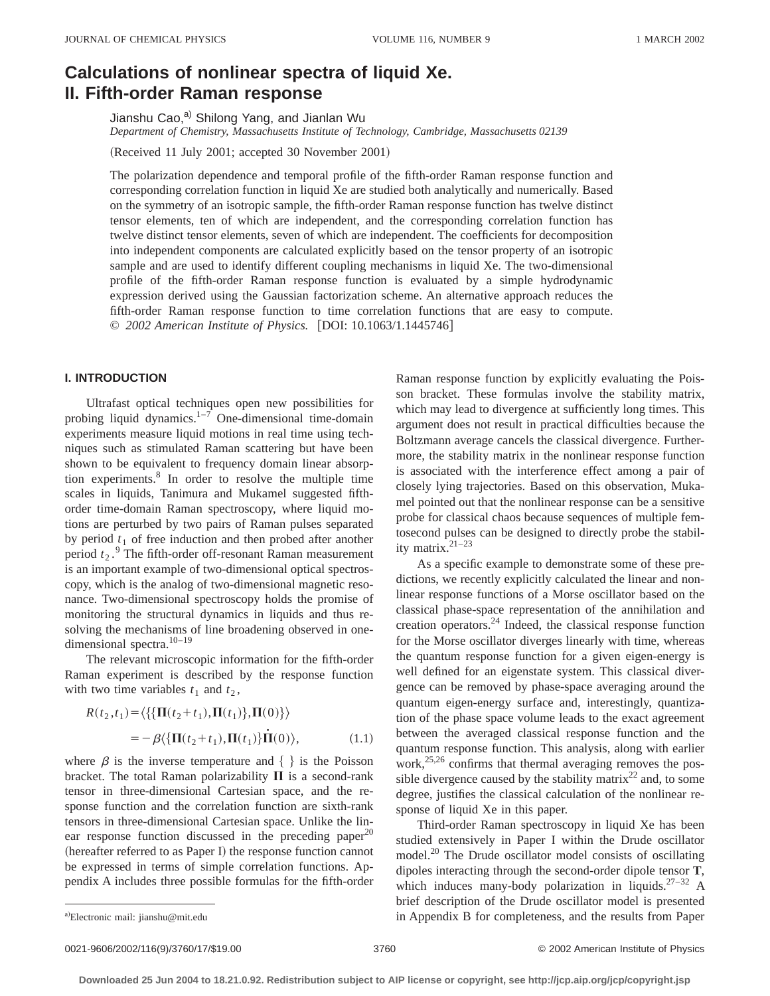# **Calculations of nonlinear spectra of liquid Xe. II. Fifth-order Raman response**

Jianshu Cao,<sup>a)</sup> Shilong Yang, and Jianlan Wu *Department of Chemistry, Massachusetts Institute of Technology, Cambridge, Massachusetts 02139*

(Received 11 July 2001; accepted 30 November 2001)

The polarization dependence and temporal profile of the fifth-order Raman response function and corresponding correlation function in liquid Xe are studied both analytically and numerically. Based on the symmetry of an isotropic sample, the fifth-order Raman response function has twelve distinct tensor elements, ten of which are independent, and the corresponding correlation function has twelve distinct tensor elements, seven of which are independent. The coefficients for decomposition into independent components are calculated explicitly based on the tensor property of an isotropic sample and are used to identify different coupling mechanisms in liquid Xe. The two-dimensional profile of the fifth-order Raman response function is evaluated by a simple hydrodynamic expression derived using the Gaussian factorization scheme. An alternative approach reduces the fifth-order Raman response function to time correlation functions that are easy to compute. © 2002 American Institute of Physics. [DOI: 10.1063/1.1445746]

### **I. INTRODUCTION**

Ultrafast optical techniques open new possibilities for probing liquid dynamics.<sup>1–7</sup> One-dimensional time-domain experiments measure liquid motions in real time using techniques such as stimulated Raman scattering but have been shown to be equivalent to frequency domain linear absorption experiments.8 In order to resolve the multiple time scales in liquids, Tanimura and Mukamel suggested fifthorder time-domain Raman spectroscopy, where liquid motions are perturbed by two pairs of Raman pulses separated by period  $t_1$  of free induction and then probed after another period  $t_2$ .<sup>9</sup> The fifth-order off-resonant Raman measurement is an important example of two-dimensional optical spectroscopy, which is the analog of two-dimensional magnetic resonance. Two-dimensional spectroscopy holds the promise of monitoring the structural dynamics in liquids and thus resolving the mechanisms of line broadening observed in onedimensional spectra.<sup>10-19</sup>

The relevant microscopic information for the fifth-order Raman experiment is described by the response function with two time variables  $t_1$  and  $t_2$ ,

$$
R(t_2, t_1) = \langle \{ \{ \Pi(t_2 + t_1), \Pi(t_1) \}, \Pi(0) \} \rangle
$$
  
=  $-\beta \langle \{ \Pi(t_2 + t_1), \Pi(t_1) \} \Pi(0) \rangle,$  (1.1)

where  $\beta$  is the inverse temperature and  $\{\}$  is the Poisson bracket. The total Raman polarizability  $\Pi$  is a second-rank tensor in three-dimensional Cartesian space, and the response function and the correlation function are sixth-rank tensors in three-dimensional Cartesian space. Unlike the linear response function discussed in the preceding paper<sup>20</sup> (hereafter referred to as Paper I) the response function cannot be expressed in terms of simple correlation functions. Appendix A includes three possible formulas for the fifth-order Raman response function by explicitly evaluating the Poisson bracket. These formulas involve the stability matrix, which may lead to divergence at sufficiently long times. This argument does not result in practical difficulties because the Boltzmann average cancels the classical divergence. Furthermore, the stability matrix in the nonlinear response function is associated with the interference effect among a pair of closely lying trajectories. Based on this observation, Mukamel pointed out that the nonlinear response can be a sensitive probe for classical chaos because sequences of multiple femtosecond pulses can be designed to directly probe the stability matrix.21–23

As a specific example to demonstrate some of these predictions, we recently explicitly calculated the linear and nonlinear response functions of a Morse oscillator based on the classical phase-space representation of the annihilation and creation operators.24 Indeed, the classical response function for the Morse oscillator diverges linearly with time, whereas the quantum response function for a given eigen-energy is well defined for an eigenstate system. This classical divergence can be removed by phase-space averaging around the quantum eigen-energy surface and, interestingly, quantization of the phase space volume leads to the exact agreement between the averaged classical response function and the quantum response function. This analysis, along with earlier work, $25,26$  confirms that thermal averaging removes the possible divergence caused by the stability matrix<sup>22</sup> and, to some degree, justifies the classical calculation of the nonlinear response of liquid Xe in this paper.

Third-order Raman spectroscopy in liquid Xe has been studied extensively in Paper I within the Drude oscillator model.<sup>20</sup> The Drude oscillator model consists of oscillating dipoles interacting through the second-order dipole tensor **T**, which induces many-body polarization in liquids.<sup>27-32</sup> A brief description of the Drude oscillator model is presented in Appendix B for completeness, and the results from Paper

0021-9606/2002/116(9)/3760/17/\$19.00 3760 3760 © 2002 American Institute of Physics

Electronic mail: jianshu@mit.edu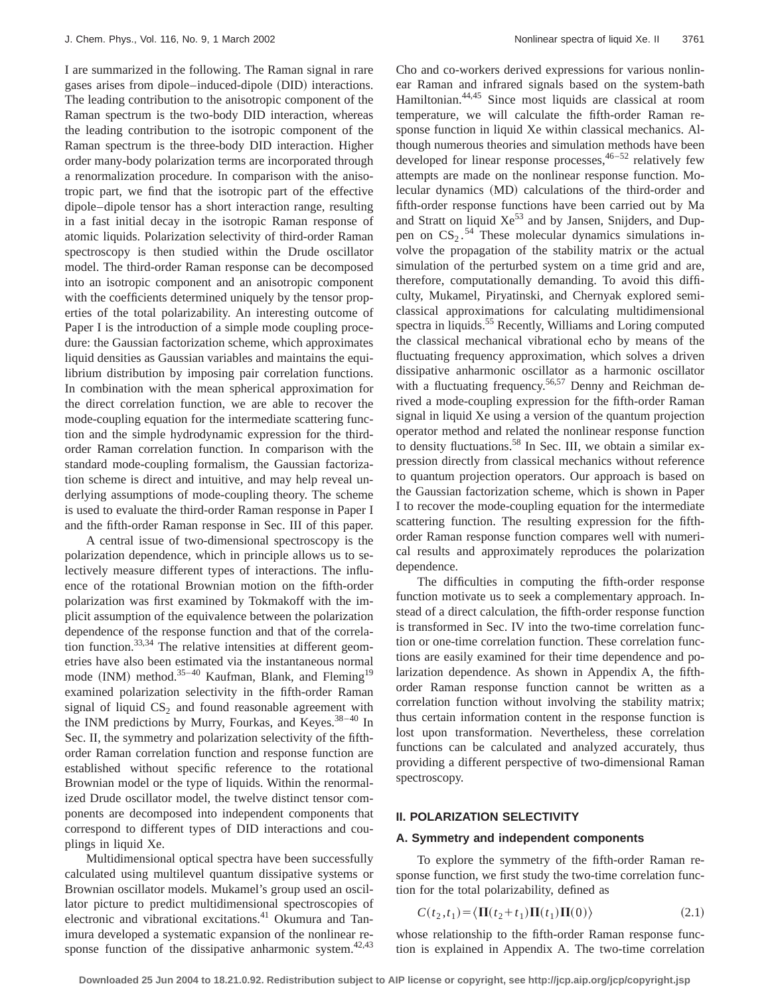I are summarized in the following. The Raman signal in rare gases arises from dipole–induced-dipole (DID) interactions. The leading contribution to the anisotropic component of the Raman spectrum is the two-body DID interaction, whereas the leading contribution to the isotropic component of the Raman spectrum is the three-body DID interaction. Higher order many-body polarization terms are incorporated through a renormalization procedure. In comparison with the anisotropic part, we find that the isotropic part of the effective dipole–dipole tensor has a short interaction range, resulting in a fast initial decay in the isotropic Raman response of atomic liquids. Polarization selectivity of third-order Raman spectroscopy is then studied within the Drude oscillator model. The third-order Raman response can be decomposed into an isotropic component and an anisotropic component with the coefficients determined uniquely by the tensor properties of the total polarizability. An interesting outcome of Paper I is the introduction of a simple mode coupling procedure: the Gaussian factorization scheme, which approximates liquid densities as Gaussian variables and maintains the equilibrium distribution by imposing pair correlation functions. In combination with the mean spherical approximation for the direct correlation function, we are able to recover the mode-coupling equation for the intermediate scattering function and the simple hydrodynamic expression for the thirdorder Raman correlation function. In comparison with the standard mode-coupling formalism, the Gaussian factorization scheme is direct and intuitive, and may help reveal underlying assumptions of mode-coupling theory. The scheme is used to evaluate the third-order Raman response in Paper I and the fifth-order Raman response in Sec. III of this paper.

A central issue of two-dimensional spectroscopy is the polarization dependence, which in principle allows us to selectively measure different types of interactions. The influence of the rotational Brownian motion on the fifth-order polarization was first examined by Tokmakoff with the implicit assumption of the equivalence between the polarization dependence of the response function and that of the correlation function.33,34 The relative intensities at different geometries have also been estimated via the instantaneous normal mode (INM) method. $35-40$  Kaufman, Blank, and Fleming<sup>19</sup> examined polarization selectivity in the fifth-order Raman signal of liquid  $CS_2$  and found reasonable agreement with the INM predictions by Murry, Fourkas, and Keyes. $38-40$  In Sec. II, the symmetry and polarization selectivity of the fifthorder Raman correlation function and response function are established without specific reference to the rotational Brownian model or the type of liquids. Within the renormalized Drude oscillator model, the twelve distinct tensor components are decomposed into independent components that correspond to different types of DID interactions and couplings in liquid Xe.

Multidimensional optical spectra have been successfully calculated using multilevel quantum dissipative systems or Brownian oscillator models. Mukamel's group used an oscillator picture to predict multidimensional spectroscopies of electronic and vibrational excitations.<sup>41</sup> Okumura and Tanimura developed a systematic expansion of the nonlinear response function of the dissipative anharmonic system.<sup>42,43</sup>

Cho and co-workers derived expressions for various nonlinear Raman and infrared signals based on the system-bath Hamiltonian.44,45 Since most liquids are classical at room temperature, we will calculate the fifth-order Raman response function in liquid Xe within classical mechanics. Although numerous theories and simulation methods have been developed for linear response processes,  $46-52$  relatively few attempts are made on the nonlinear response function. Molecular dynamics (MD) calculations of the third-order and fifth-order response functions have been carried out by Ma and Stratt on liquid  $Xe^{53}$  and by Jansen, Snijders, and Duppen on  $CS_2$ .<sup>54</sup> These molecular dynamics simulations involve the propagation of the stability matrix or the actual simulation of the perturbed system on a time grid and are, therefore, computationally demanding. To avoid this difficulty, Mukamel, Piryatinski, and Chernyak explored semiclassical approximations for calculating multidimensional spectra in liquids.<sup>55</sup> Recently, Williams and Loring computed the classical mechanical vibrational echo by means of the fluctuating frequency approximation, which solves a driven dissipative anharmonic oscillator as a harmonic oscillator with a fluctuating frequency.<sup>56,57</sup> Denny and Reichman derived a mode-coupling expression for the fifth-order Raman signal in liquid Xe using a version of the quantum projection operator method and related the nonlinear response function to density fluctuations.<sup>58</sup> In Sec. III, we obtain a similar expression directly from classical mechanics without reference to quantum projection operators. Our approach is based on the Gaussian factorization scheme, which is shown in Paper I to recover the mode-coupling equation for the intermediate scattering function. The resulting expression for the fifthorder Raman response function compares well with numerical results and approximately reproduces the polarization dependence.

The difficulties in computing the fifth-order response function motivate us to seek a complementary approach. Instead of a direct calculation, the fifth-order response function is transformed in Sec. IV into the two-time correlation function or one-time correlation function. These correlation functions are easily examined for their time dependence and polarization dependence. As shown in Appendix A, the fifthorder Raman response function cannot be written as a correlation function without involving the stability matrix; thus certain information content in the response function is lost upon transformation. Nevertheless, these correlation functions can be calculated and analyzed accurately, thus providing a different perspective of two-dimensional Raman spectroscopy.

### **II. POLARIZATION SELECTIVITY**

#### **A. Symmetry and independent components**

To explore the symmetry of the fifth-order Raman response function, we first study the two-time correlation function for the total polarizability, defined as

$$
C(t_2, t_1) = \langle \Pi(t_2 + t_1) \Pi(t_1) \Pi(0) \rangle
$$
 (2.1)

whose relationship to the fifth-order Raman response function is explained in Appendix A. The two-time correlation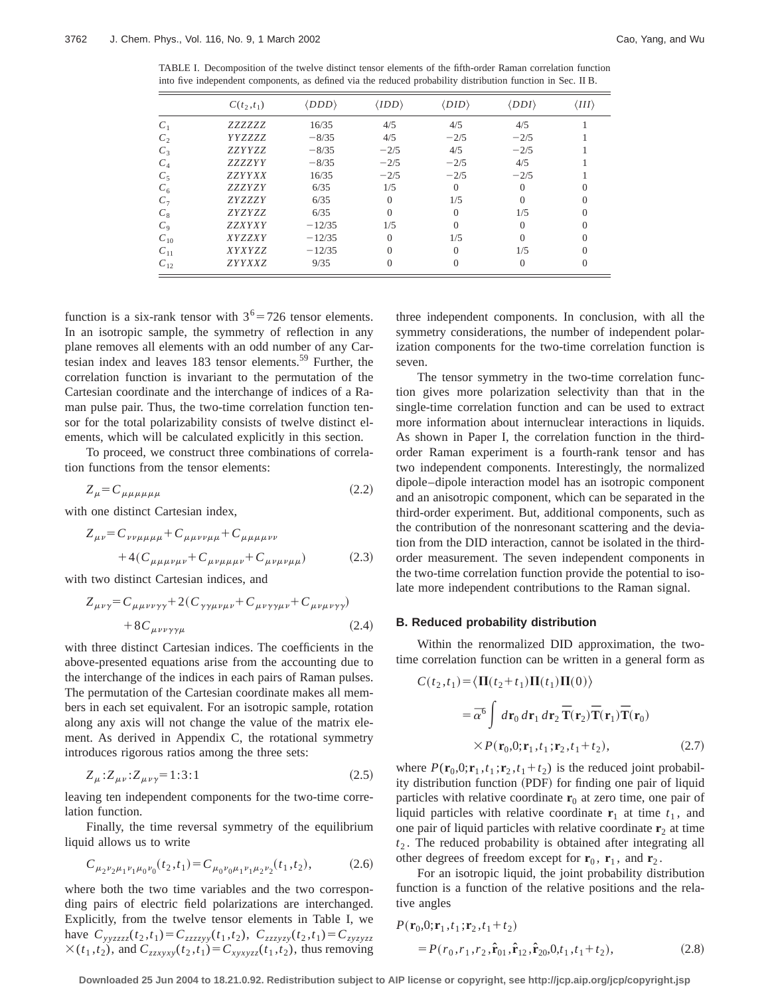| TABLE I. Decomposition of the twelve distinct tensor elements of the fifth-order Raman correlation function  |  |  |  |  |
|--------------------------------------------------------------------------------------------------------------|--|--|--|--|
| into five independent components, as defined via the reduced probability distribution function in Sec. II B. |  |  |  |  |

|                | $C(t_2,t_1)$  | $\langle DDD \rangle$ | $\langle IDD \rangle$ | $\langle DID \rangle$ | $\langle D D I \rangle$ | $\langle III \rangle$ |
|----------------|---------------|-----------------------|-----------------------|-----------------------|-------------------------|-----------------------|
| $C_1$          | ZZZZZZ        | 16/35                 | 4/5                   | 4/5                   | 4/5                     |                       |
| $C_2$          | YYZZZZ        | $-8/35$               | 4/5                   | $-2/5$                | $-2/5$                  |                       |
| $C_3$          | ZZYYZZ        | $-8/35$               | $-2/5$                | 4/5                   | $-2/5$                  |                       |
| $C_4$          | ZZZZYY        | $-8/35$               | $-2/5$                | $-2/5$                | 4/5                     |                       |
| $C_5$          | <b>ZZYYXX</b> | 16/35                 | $-2/5$                | $-2/5$                | $-2/5$                  |                       |
| C <sub>6</sub> | ZZZYZY        | 6/35                  | 1/5                   |                       | $\Omega$                |                       |
| $C_7$          | ZYZZZY        | 6/35                  | $\theta$              | 1/5                   | $\theta$                |                       |
| $C_8$          | ZYZYZZ.       | 6/35                  | 0                     |                       | 1/5                     |                       |
| $C_{9}$        | <b>ZZXYXY</b> | $-12/35$              | 1/5                   |                       | $\Omega$                |                       |
| $C_{10}$       | <i>XYZZXY</i> | $-12/35$              | $\theta$              | 1/5                   |                         |                       |
| $C_{11}$       | <i>XYXYZZ</i> | $-12/35$              | 0                     |                       | 1/5                     |                       |
| $C_{12}$       | ZYYXXZ        | 9/35                  | 0                     |                       | $\Omega$                |                       |

function is a six-rank tensor with  $3^6$  = 726 tensor elements. In an isotropic sample, the symmetry of reflection in any plane removes all elements with an odd number of any Cartesian index and leaves 183 tensor elements.<sup>59</sup> Further, the correlation function is invariant to the permutation of the Cartesian coordinate and the interchange of indices of a Raman pulse pair. Thus, the two-time correlation function tensor for the total polarizability consists of twelve distinct elements, which will be calculated explicitly in this section.

To proceed, we construct three combinations of correlation functions from the tensor elements:

$$
Z_{\mu} = C_{\mu\mu\mu\mu\mu\mu}
$$
 (2.2)

with one distinct Cartesian index,

$$
Z_{\mu\nu} = C_{\nu\nu\mu\mu\mu\mu} + C_{\mu\mu\nu\nu\mu\mu} + C_{\mu\mu\mu\mu\nu\nu} + 4(C_{\mu\mu\mu\nu\mu\nu} + C_{\mu\nu\mu\mu\mu\nu} + C_{\mu\nu\mu\nu\mu\nu})
$$
\n(2.3)

with two distinct Cartesian indices, and

$$
Z_{\mu\nu\gamma} = C_{\mu\mu\nu\nu\gamma\gamma} + 2(C_{\gamma\gamma\mu\nu\mu\nu} + C_{\mu\nu\gamma\gamma\mu\nu} + C_{\mu\nu\mu\nu\gamma\gamma}) + 8C_{\mu\nu\nu\gamma\gamma\mu}
$$
\n(2.4)

with three distinct Cartesian indices. The coefficients in the above-presented equations arise from the accounting due to the interchange of the indices in each pairs of Raman pulses. The permutation of the Cartesian coordinate makes all members in each set equivalent. For an isotropic sample, rotation along any axis will not change the value of the matrix element. As derived in Appendix C, the rotational symmetry introduces rigorous ratios among the three sets:

$$
Z_{\mu} : Z_{\mu\nu} : Z_{\mu\nu\gamma} = 1 : 3 : 1 \tag{2.5}
$$

leaving ten independent components for the two-time correlation function.

Finally, the time reversal symmetry of the equilibrium liquid allows us to write

$$
C_{\mu_2 \nu_2 \mu_1 \nu_1 \mu_0 \nu_0}(t_2, t_1) = C_{\mu_0 \nu_0 \mu_1 \nu_1 \mu_2 \nu_2}(t_1, t_2), \tag{2.6}
$$

where both the two time variables and the two corresponding pairs of electric field polarizations are interchanged. Explicitly, from the twelve tensor elements in Table I, we have  $C_{yyzzzz}(t_2, t_1) = C_{zzzzyy}(t_1, t_2), C_{zzzyzy}(t_2, t_1) = C_{zyzyzz}$  $\times$ ( $t_1, t_2$ ), and  $C_{zzyxyy}(t_2, t_1) = C_{xyxyzz}(t_1, t_2)$ , thus removing three independent components. In conclusion, with all the symmetry considerations, the number of independent polarization components for the two-time correlation function is seven.

The tensor symmetry in the two-time correlation function gives more polarization selectivity than that in the single-time correlation function and can be used to extract more information about internuclear interactions in liquids. As shown in Paper I, the correlation function in the thirdorder Raman experiment is a fourth-rank tensor and has two independent components. Interestingly, the normalized dipole–dipole interaction model has an isotropic component and an anisotropic component, which can be separated in the third-order experiment. But, additional components, such as the contribution of the nonresonant scattering and the deviation from the DID interaction, cannot be isolated in the thirdorder measurement. The seven independent components in the two-time correlation function provide the potential to isolate more independent contributions to the Raman signal.

### **B. Reduced probability distribution**

Within the renormalized DID approximation, the twotime correlation function can be written in a general form as

$$
C(t_2, t_1) = \langle \Pi(t_2 + t_1) \Pi(t_1) \Pi(0) \rangle
$$
  
=  $\bar{\alpha}^6 \int d\mathbf{r}_0 d\mathbf{r}_1 d\mathbf{r}_2 \overline{\mathbf{T}}(\mathbf{r}_2) \overline{\mathbf{T}}(\mathbf{r}_1) \overline{\mathbf{T}}(\mathbf{r}_0)$   
 $\times P(\mathbf{r}_0, 0; \mathbf{r}_1, t_1; \mathbf{r}_2, t_1 + t_2),$  (2.7)

where  $P(\mathbf{r}_0, 0; \mathbf{r}_1, t_1; \mathbf{r}_2, t_1 + t_2)$  is the reduced joint probability distribution function (PDF) for finding one pair of liquid particles with relative coordinate  $\mathbf{r}_0$  at zero time, one pair of liquid particles with relative coordinate  $\mathbf{r}_1$  at time  $t_1$ , and one pair of liquid particles with relative coordinate  $\mathbf{r}_2$  at time  $t<sub>2</sub>$ . The reduced probability is obtained after integrating all other degrees of freedom except for  $\mathbf{r}_0$ ,  $\mathbf{r}_1$ , and  $\mathbf{r}_2$ .

For an isotropic liquid, the joint probability distribution function is a function of the relative positions and the relative angles

$$
P(\mathbf{r}_0, 0; \mathbf{r}_1, t_1; \mathbf{r}_2, t_1 + t_2)
$$
  
=  $P(r_0, r_1, r_2, \hat{\mathbf{r}}_{01}, \hat{\mathbf{r}}_{12}, \hat{\mathbf{r}}_{20}, 0, t_1, t_1 + t_2),$  (2.8)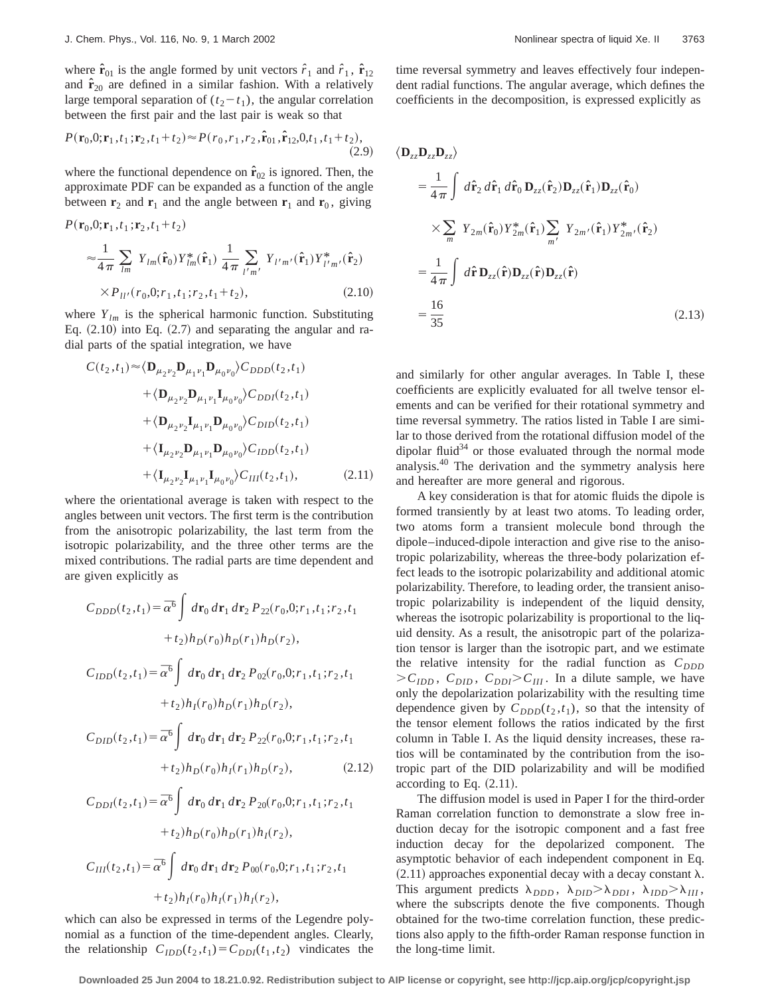where  $\hat{\mathbf{r}}_{01}$  is the angle formed by unit vectors  $\hat{r}_1$  and  $\hat{r}_1$ ,  $\hat{\mathbf{r}}_{12}$ and  $\hat{\mathbf{r}}_{20}$  are defined in a similar fashion. With a relatively large temporal separation of  $(t_2 - t_1)$ , the angular correlation between the first pair and the last pair is weak so that

$$
P(\mathbf{r}_0, 0; \mathbf{r}_1, t_1; \mathbf{r}_2, t_1 + t_2) \approx P(r_0, r_1, r_2, \hat{\mathbf{r}}_{01}, \hat{\mathbf{r}}_{12}, 0, t_1, t_1 + t_2),
$$
\n(2.9)

where the functional dependence on  $\hat{\mathbf{r}}_{02}$  is ignored. Then, the approximate PDF can be expanded as a function of the angle between  $\mathbf{r}_2$  and  $\mathbf{r}_1$  and the angle between  $\mathbf{r}_1$  and  $\mathbf{r}_0$ , giving

$$
P(\mathbf{r}_0, 0; \mathbf{r}_1, t_1; \mathbf{r}_2, t_1 + t_2)
$$
\n
$$
\approx \frac{1}{4\pi} \sum_{lm} Y_{lm}(\hat{\mathbf{r}}_0) Y_{lm}^*(\hat{\mathbf{r}}_1) \frac{1}{4\pi} \sum_{l'm'} Y_{l'm'}(\hat{\mathbf{r}}_1) Y_{l'm'}^*(\hat{\mathbf{r}}_2)
$$
\n
$$
\times P_{ll'}(r_0, 0; r_1, t_1; r_2, t_1 + t_2), \qquad (2.10)
$$

where  $Y_{lm}$  is the spherical harmonic function. Substituting Eq.  $(2.10)$  into Eq.  $(2.7)$  and separating the angular and radial parts of the spatial integration, we have

$$
C(t_2, t_1) \approx \langle \mathbf{D}_{\mu_2 \nu_2} \mathbf{D}_{\mu_1 \nu_1} \mathbf{D}_{\mu_0 \nu_0} \rangle C_{DDD}(t_2, t_1)
$$
  
+  $\langle \mathbf{D}_{\mu_2 \nu_2} \mathbf{D}_{\mu_1 \nu_1} \mathbf{I}_{\mu_0 \nu_0} \rangle C_{DDI}(t_2, t_1)$   
+  $\langle \mathbf{D}_{\mu_2 \nu_2} \mathbf{I}_{\mu_1 \nu_1} \mathbf{D}_{\mu_0 \nu_0} \rangle C_{DDD}(t_2, t_1)$   
+  $\langle \mathbf{I}_{\mu_2 \nu_2} \mathbf{D}_{\mu_1 \nu_1} \mathbf{D}_{\mu_0 \nu_0} \rangle C_{IDD}(t_2, t_1)$   
+  $\langle \mathbf{I}_{\mu_2 \nu_2} \mathbf{I}_{\mu_1 \nu_1} \mathbf{I}_{\mu_0 \nu_0} \rangle C_{III}(t_2, t_1),$  (2.11)

where the orientational average is taken with respect to the angles between unit vectors. The first term is the contribution from the anisotropic polarizability, the last term from the isotropic polarizability, and the three other terms are the mixed contributions. The radial parts are time dependent and are given explicitly as

$$
C_{DDD}(t_{2}, t_{1}) = \overline{\alpha}^{6} \int d\mathbf{r}_{0} d\mathbf{r}_{1} d\mathbf{r}_{2} P_{22}(r_{0}, 0; r_{1}, t_{1}; r_{2}, t_{1}
$$

$$
+ t_{2}) h_{D}(r_{0}) h_{D}(r_{1}) h_{D}(r_{2}),
$$

$$
C_{IDD}(t_{2}, t_{1}) = \overline{\alpha}^{6} \int d\mathbf{r}_{0} d\mathbf{r}_{1} d\mathbf{r}_{2} P_{02}(r_{0}, 0; r_{1}, t_{1}; r_{2}, t_{1}
$$

$$
+ t_{2}) h_{I}(r_{0}) h_{D}(r_{1}) h_{D}(r_{2}),
$$

$$
C_{DID}(t_{2}, t_{1}) = \overline{\alpha}^{6} \int d\mathbf{r}_{0} d\mathbf{r}_{1} d\mathbf{r}_{2} P_{22}(r_{0}, 0; r_{1}, t_{1}; r_{2}, t_{1}
$$

$$
+ t_{2}) h_{D}(r_{0}) h_{I}(r_{1}) h_{D}(r_{2}),
$$
(2.12)

$$
C_{DDI}(t_2,t_1) = \overline{\alpha}^6 \int d\mathbf{r}_0 d\mathbf{r}_1 d\mathbf{r}_2 P_{20}(r_0,0; r_1,t_1; r_2,t_1+ t_2)h_D(r_0)h_D(r_1)h_I(r_2),
$$
  

$$
C_{III}(t_2,t_1) = \overline{\alpha}^6 \int d\mathbf{r}_0 d\mathbf{r}_1 d\mathbf{r}_2 P_{00}(r_0,0; r_1,t_1; r_2,t_1+ t_2)h_I(r_0)h_I(r_1)h_I(r_2),
$$

which can also be expressed in terms of the Legendre polynomial as a function of the time-dependent angles. Clearly, the relationship  $C_{IDD}(t_2, t_1) = C_{DDI}(t_1, t_2)$  vindicates the time reversal symmetry and leaves effectively four independent radial functions. The angular average, which defines the coefficients in the decomposition, is expressed explicitly as

$$
\langle \mathbf{D}_{zz} \mathbf{D}_{zz} \mathbf{D}_{zz} \rangle
$$
  
\n
$$
= \frac{1}{4\pi} \int d\hat{\mathbf{r}}_2 d\hat{\mathbf{r}}_1 d\hat{\mathbf{r}}_0 \mathbf{D}_{zz}(\hat{\mathbf{r}}_2) \mathbf{D}_{zz}(\hat{\mathbf{r}}_1) \mathbf{D}_{zz}(\hat{\mathbf{r}}_0)
$$
  
\n
$$
\times \sum_m Y_{2m}(\hat{\mathbf{r}}_0) Y_{2m}^*(\hat{\mathbf{r}}_1) \sum_m Y_{2m'}(\hat{\mathbf{r}}_1) Y_{2m'}^*(\hat{\mathbf{r}}_2)
$$
  
\n
$$
= \frac{1}{4\pi} \int d\hat{\mathbf{r}} \mathbf{D}_{zz}(\hat{\mathbf{r}}) \mathbf{D}_{zz}(\hat{\mathbf{r}}) \mathbf{D}_{zz}(\hat{\mathbf{r}})
$$
  
\n
$$
= \frac{16}{35}
$$
 (2.13)

and similarly for other angular averages. In Table I, these coefficients are explicitly evaluated for all twelve tensor elements and can be verified for their rotational symmetry and time reversal symmetry. The ratios listed in Table I are similar to those derived from the rotational diffusion model of the dipolar fluid<sup>34</sup> or those evaluated through the normal mode analysis.40 The derivation and the symmetry analysis here and hereafter are more general and rigorous.

A key consideration is that for atomic fluids the dipole is formed transiently by at least two atoms. To leading order, two atoms form a transient molecule bond through the dipole–induced-dipole interaction and give rise to the anisotropic polarizability, whereas the three-body polarization effect leads to the isotropic polarizability and additional atomic polarizability. Therefore, to leading order, the transient anisotropic polarizability is independent of the liquid density, whereas the isotropic polarizability is proportional to the liquid density. As a result, the anisotropic part of the polarization tensor is larger than the isotropic part, and we estimate the relative intensity for the radial function as  $C_{DDD}$  $>C_{\text{IDD}}$ ,  $C_{\text{DID}}$ ,  $C_{\text{DDI}} > C_{\text{III}}$ . In a dilute sample, we have only the depolarization polarizability with the resulting time dependence given by  $C_{DDD}(t_2, t_1)$ , so that the intensity of the tensor element follows the ratios indicated by the first column in Table I. As the liquid density increases, these ratios will be contaminated by the contribution from the isotropic part of the DID polarizability and will be modified according to Eq.  $(2.11)$ .

The diffusion model is used in Paper I for the third-order Raman correlation function to demonstrate a slow free induction decay for the isotropic component and a fast free induction decay for the depolarized component. The asymptotic behavior of each independent component in Eq.  $(2.11)$  approaches exponential decay with a decay constant  $\lambda$ . This argument predicts  $\lambda_{DDD}$ ,  $\lambda_{DID} > \lambda_{DDI}$ ,  $\lambda_{IDD} > \lambda_{III}$ , where the subscripts denote the five components. Though obtained for the two-time correlation function, these predictions also apply to the fifth-order Raman response function in the long-time limit.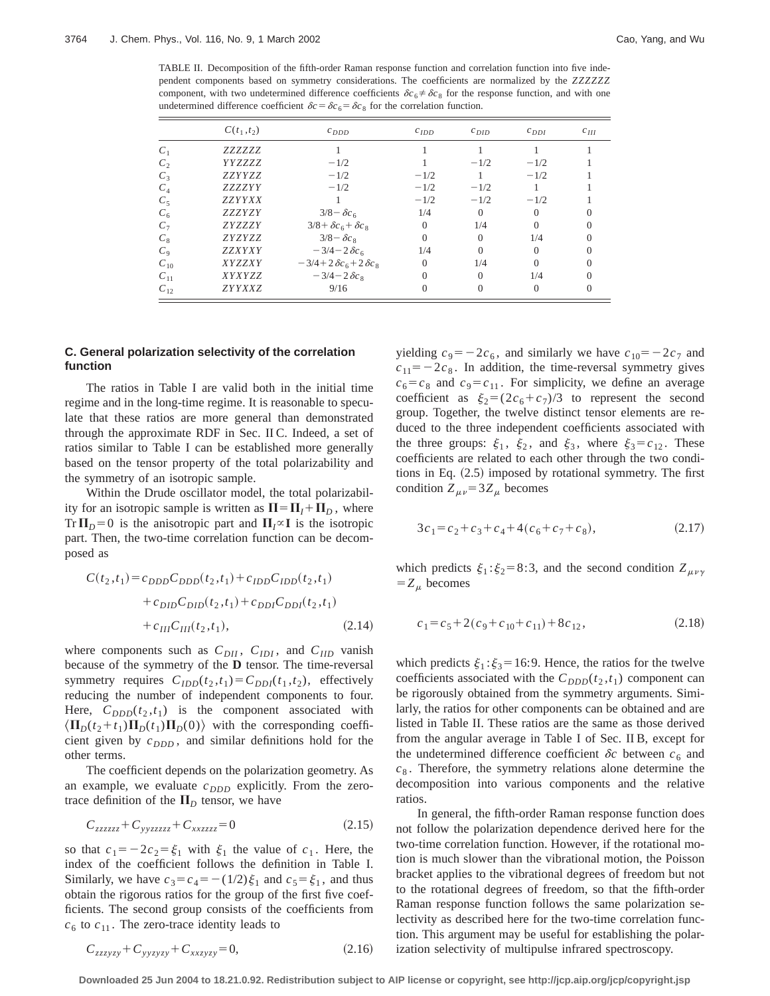TABLE II. Decomposition of the fifth-order Raman response function and correlation function into five independent components based on symmetry considerations. The coefficients are normalized by the *ZZZZZZ* component, with two undetermined difference coefficients  $\delta c_6 \neq \delta c_8$  for the response function, and with one undetermined difference coefficient  $\delta c = \delta c_6 = \delta c_8$  for the correlation function.

|                | $C(t_1,t_2)$  | $c_{DDD}$                        | $c_{IDD}$ | $c_{DID}$ | $c_{DDI}$ | $c_{III}$ |
|----------------|---------------|----------------------------------|-----------|-----------|-----------|-----------|
| $C_1$          | ZZZZZZ        |                                  |           |           |           |           |
| C <sub>2</sub> | YYZZZZ        | $-1/2$                           |           | $-1/2$    | $-1/2$    |           |
| $C_3$          | ZZYYZZ        | $-1/2$                           | $-1/2$    |           | $-1/2$    |           |
| $C_4$          | ZZZZYY        | $-1/2$                           | $-1/2$    | $-1/2$    |           |           |
| $C_5$          | <b>ZZYYXX</b> |                                  | $-1/2$    | $-1/2$    | $-1/2$    |           |
| $C_6$          | ZZZYZY        | $3/8 - \delta c_6$               | 1/4       |           |           |           |
| $C_7$          | ZYZZZY        | $3/8 + \delta c_6 + \delta c_8$  | $\Omega$  | 1/4       | $\Omega$  |           |
| $C_8$          | ZYZYZZ        | $3/8 - \delta c_8$               |           |           | 1/4       |           |
| $C_{9}$        | <b>ZZXYXY</b> | $-3/4-2\delta c_{6}$             | 1/4       |           | $\Omega$  |           |
| $C_{10}$       | <i>XYZZXY</i> | $-3/4+2 \delta c_6+2 \delta c_8$ | 0         | 1/4       |           |           |
| $C_{11}$       | XYXYZZ        | $-3/4-2\delta c_8$               |           |           | 1/4       |           |
| $C_{12}$       | ZYYXXZ        | 9/16                             |           |           | $\Omega$  |           |

### **C. General polarization selectivity of the correlation function**

The ratios in Table I are valid both in the initial time regime and in the long-time regime. It is reasonable to speculate that these ratios are more general than demonstrated through the approximate RDF in Sec. II C. Indeed, a set of ratios similar to Table I can be established more generally based on the tensor property of the total polarizability and the symmetry of an isotropic sample.

Within the Drude oscillator model, the total polarizability for an isotropic sample is written as  $\Pi = \Pi_I + \Pi_D$ , where  $Tr \Pi_D = 0$  is the anisotropic part and  $\Pi_I \propto \mathbf{I}$  is the isotropic part. Then, the two-time correlation function can be decomposed as

$$
C(t_2, t_1) = c_{DDD} C_{DDD}(t_2, t_1) + c_{IDD} C_{IDD}(t_2, t_1)
$$
  
+ 
$$
c_{DID} C_{DID}(t_2, t_1) + c_{DDI} C_{DDI}(t_2, t_1)
$$
  
+ 
$$
c_{III} C_{III}(t_2, t_1),
$$
 (2.14)

where components such as  $C_{DII}$ ,  $C_{IDI}$ , and  $C_{IID}$  vanish because of the symmetry of the **D** tensor. The time-reversal symmetry requires  $C_{IDD}(t_2, t_1) = C_{DDI}(t_1, t_2)$ , effectively reducing the number of independent components to four. Here,  $C_{DDD}(t_2,t_1)$  is the component associated with  $\langle \prod_D(t_2+t_1)\prod_D(t_1)\prod_D(0)\rangle$  with the corresponding coefficient given by  $c_{DDD}$ , and similar definitions hold for the other terms.

The coefficient depends on the polarization geometry. As an example, we evaluate  $c_{DDD}$  explicitly. From the zerotrace definition of the  $\Pi_D$  tensor, we have

$$
C_{zzzzzz} + C_{yyzzzzz} + C_{xxzzzz} = 0 \tag{2.15}
$$

so that  $c_1 = -2c_2 = \xi_1$  with  $\xi_1$  the value of  $c_1$ . Here, the index of the coefficient follows the definition in Table I. Similarly, we have  $c_3 = c_4 = -(1/2)\xi_1$  and  $c_5 = \xi_1$ , and thus obtain the rigorous ratios for the group of the first five coefficients. The second group consists of the coefficients from  $c_6$  to  $c_{11}$ . The zero-trace identity leads to

$$
C_{zzzyzy} + C_{yyzyzy} + C_{xxzyzy} = 0, \qquad (2.16)
$$

yielding  $c_9 = -2c_6$ , and similarly we have  $c_{10} = -2c_7$  and  $c_{11} = -2c_8$ . In addition, the time-reversal symmetry gives  $c_6 = c_8$  and  $c_9 = c_{11}$ . For simplicity, we define an average coefficient as  $\xi_2 = (2c_6 + c_7)/3$  to represent the second group. Together, the twelve distinct tensor elements are reduced to the three independent coefficients associated with the three groups:  $\xi_1$ ,  $\xi_2$ , and  $\xi_3$ , where  $\xi_3 = c_{12}$ . These coefficients are related to each other through the two conditions in Eq.  $(2.5)$  imposed by rotational symmetry. The first condition  $Z_{\mu\nu} = 3Z_{\mu}$  becomes

$$
3c_1 = c_2 + c_3 + c_4 + 4(c_6 + c_7 + c_8), \tag{2.17}
$$

which predicts  $\xi_1 : \xi_2 = 8:3$ , and the second condition  $Z_{\mu\nu\gamma}$  $=Z_\mu$  becomes

$$
c_1 = c_5 + 2(c_9 + c_{10} + c_{11}) + 8c_{12}, \t\t(2.18)
$$

which predicts  $\xi_1 : \xi_3 = 16.9$ . Hence, the ratios for the twelve coefficients associated with the  $C_{DDD}(t_2, t_1)$  component can be rigorously obtained from the symmetry arguments. Similarly, the ratios for other components can be obtained and are listed in Table II. These ratios are the same as those derived from the angular average in Table I of Sec. II B, except for the undetermined difference coefficient  $\delta c$  between  $c_6$  and  $c_8$ . Therefore, the symmetry relations alone determine the decomposition into various components and the relative ratios.

In general, the fifth-order Raman response function does not follow the polarization dependence derived here for the two-time correlation function. However, if the rotational motion is much slower than the vibrational motion, the Poisson bracket applies to the vibrational degrees of freedom but not to the rotational degrees of freedom, so that the fifth-order Raman response function follows the same polarization selectivity as described here for the two-time correlation function. This argument may be useful for establishing the polarization selectivity of multipulse infrared spectroscopy.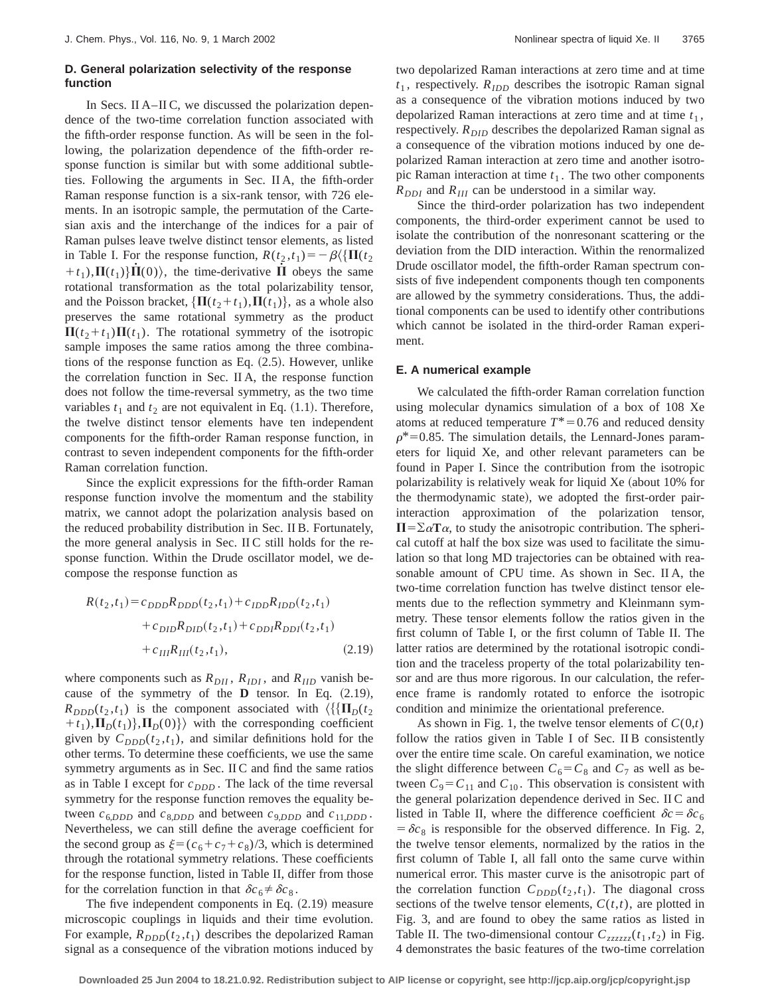# **D. General polarization selectivity of the response function**

In Secs. II A–II C, we discussed the polarization dependence of the two-time correlation function associated with the fifth-order response function. As will be seen in the following, the polarization dependence of the fifth-order response function is similar but with some additional subtleties. Following the arguments in Sec. II A, the fifth-order Raman response function is a six-rank tensor, with 726 elements. In an isotropic sample, the permutation of the Cartesian axis and the interchange of the indices for a pair of Raman pulses leave twelve distinct tensor elements, as listed in Table I. For the response function,  $R(t_2, t_1) = -\beta \langle \{\Pi(t_2)\}\rangle$  $+t_1$ ,  $\Pi(t_1)$   $\Pi(0)$ , the time-derivative  $\Pi$  obeys the same rotational transformation as the total polarizability tensor, and the Poisson bracket,  $\{\Pi(t_2+t_1), \Pi(t_1)\}\)$ , as a whole also preserves the same rotational symmetry as the product  $\Pi(t_2+t_1)\Pi(t_1)$ . The rotational symmetry of the isotropic sample imposes the same ratios among the three combinations of the response function as Eq.  $(2.5)$ . However, unlike the correlation function in Sec. II A, the response function does not follow the time-reversal symmetry, as the two time variables  $t_1$  and  $t_2$  are not equivalent in Eq.  $(1.1)$ . Therefore, the twelve distinct tensor elements have ten independent components for the fifth-order Raman response function, in contrast to seven independent components for the fifth-order Raman correlation function.

Since the explicit expressions for the fifth-order Raman response function involve the momentum and the stability matrix, we cannot adopt the polarization analysis based on the reduced probability distribution in Sec. II B. Fortunately, the more general analysis in Sec. II C still holds for the response function. Within the Drude oscillator model, we decompose the response function as

$$
R(t_2, t_1) = c_{DDD}R_{DDD}(t_2, t_1) + c_{IDD}R_{IDD}(t_2, t_1)
$$
  
+  $c_{DID}R_{DID}(t_2, t_1) + c_{DDI}R_{DDI}(t_2, t_1)$   
+  $c_{III}R_{III}(t_2, t_1)$ , (2.19)

where components such as  $R_{DII}$ ,  $R_{IDI}$ , and  $R_{IID}$  vanish because of the symmetry of the **D** tensor. In Eq.  $(2.19)$ ,  $R_{DDD}(t_2, t_1)$  is the component associated with  $\langle \{\Pi_D(t_2)\}$  $+t_1$ ,  $\Pi_D(t_1)$ ,  $\Pi_D(0)$ } with the corresponding coefficient given by  $C_{DDD}(t_2, t_1)$ , and similar definitions hold for the other terms. To determine these coefficients, we use the same symmetry arguments as in Sec. II C and find the same ratios as in Table I except for  $c_{DDD}$ . The lack of the time reversal symmetry for the response function removes the equality between  $c_{6, DDD}$  and  $c_{8, DDD}$  and between  $c_{9, DDD}$  and  $c_{11, DDD}$ . Nevertheless, we can still define the average coefficient for the second group as  $\xi = (c_6 + c_7 + c_8)/3$ , which is determined through the rotational symmetry relations. These coefficients for the response function, listed in Table II, differ from those for the correlation function in that  $\delta c_6 \neq \delta c_8$ .

The five independent components in Eq.  $(2.19)$  measure microscopic couplings in liquids and their time evolution. For example,  $R_{DDD}(t_2, t_1)$  describes the depolarized Raman signal as a consequence of the vibration motions induced by two depolarized Raman interactions at zero time and at time  $t_1$ , respectively.  $R_{IDD}$  describes the isotropic Raman signal as a consequence of the vibration motions induced by two depolarized Raman interactions at zero time and at time  $t_1$ , respectively.  $R_{DID}$  describes the depolarized Raman signal as a consequence of the vibration motions induced by one depolarized Raman interaction at zero time and another isotropic Raman interaction at time  $t_1$ . The two other components  $R_{DDI}$  and  $R_{III}$  can be understood in a similar way.

Since the third-order polarization has two independent components, the third-order experiment cannot be used to isolate the contribution of the nonresonant scattering or the deviation from the DID interaction. Within the renormalized Drude oscillator model, the fifth-order Raman spectrum consists of five independent components though ten components are allowed by the symmetry considerations. Thus, the additional components can be used to identify other contributions which cannot be isolated in the third-order Raman experiment.

#### **E. A numerical example**

We calculated the fifth-order Raman correlation function using molecular dynamics simulation of a box of 108 Xe atoms at reduced temperature  $T^* = 0.76$  and reduced density  $\rho^*$ =0.85. The simulation details, the Lennard-Jones parameters for liquid Xe, and other relevant parameters can be found in Paper I. Since the contribution from the isotropic polarizability is relatively weak for liquid  $Xe$  (about 10% for the thermodynamic state), we adopted the first-order pairinteraction approximation of the polarization tensor,  $\Pi = \sum \alpha \Gamma \alpha$ , to study the anisotropic contribution. The spherical cutoff at half the box size was used to facilitate the simulation so that long MD trajectories can be obtained with reasonable amount of CPU time. As shown in Sec. II A, the two-time correlation function has twelve distinct tensor elements due to the reflection symmetry and Kleinmann symmetry. These tensor elements follow the ratios given in the first column of Table I, or the first column of Table II. The latter ratios are determined by the rotational isotropic condition and the traceless property of the total polarizability tensor and are thus more rigorous. In our calculation, the reference frame is randomly rotated to enforce the isotropic condition and minimize the orientational preference.

As shown in Fig. 1, the twelve tensor elements of  $C(0,t)$ follow the ratios given in Table I of Sec. II B consistently over the entire time scale. On careful examination, we notice the slight difference between  $C_6 = C_8$  and  $C_7$  as well as between  $C_9 = C_{11}$  and  $C_{10}$ . This observation is consistent with the general polarization dependence derived in Sec. II C and listed in Table II, where the difference coefficient  $\delta c = \delta c_6$  $= \delta c_8$  is responsible for the observed difference. In Fig. 2, the twelve tensor elements, normalized by the ratios in the first column of Table I, all fall onto the same curve within numerical error. This master curve is the anisotropic part of the correlation function  $C_{DDD}(t_2, t_1)$ . The diagonal cross sections of the twelve tensor elements,  $C(t,t)$ , are plotted in Fig. 3, and are found to obey the same ratios as listed in Table II. The two-dimensional contour  $C_{zzzzzz}(t_1,t_2)$  in Fig. 4 demonstrates the basic features of the two-time correlation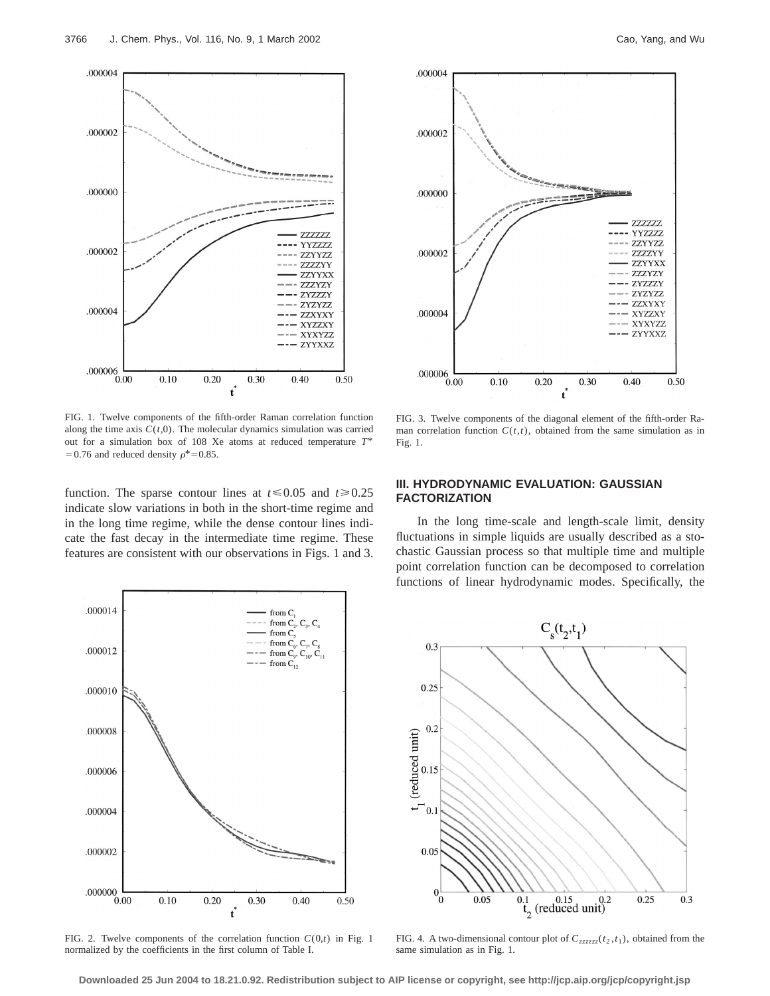

FIG. 1. Twelve components of the fifth-order Raman correlation function along the time axis  $C(t,0)$ . The molecular dynamics simulation was carried out for a simulation box of 108 Xe atoms at reduced temperature *T*\* = 0.76 and reduced density  $\rho^*$ = 0.85.

function. The sparse contour lines at  $t \le 0.05$  and  $t \ge 0.25$ indicate slow variations in both in the short-time regime and in the long time regime, while the dense contour lines indicate the fast decay in the intermediate time regime. These features are consistent with our observations in Figs. 1 and 3.



FIG. 2. Twelve components of the correlation function  $C(0,t)$  in Fig. 1 normalized by the coefficients in the first column of Table I.



FIG. 3. Twelve components of the diagonal element of the fifth-order Raman correlation function  $C(t,t)$ , obtained from the same simulation as in Fig. 1.

### **III. HYDRODYNAMIC EVALUATION: GAUSSIAN FACTORIZATION**

In the long time-scale and length-scale limit, density fluctuations in simple liquids are usually described as a stochastic Gaussian process so that multiple time and multiple point correlation function can be decomposed to correlation functions of linear hydrodynamic modes. Specifically, the



FIG. 4. A two-dimensional contour plot of  $C_{zzzzzz}(t_2, t_1)$ , obtained from the same simulation as in Fig. 1.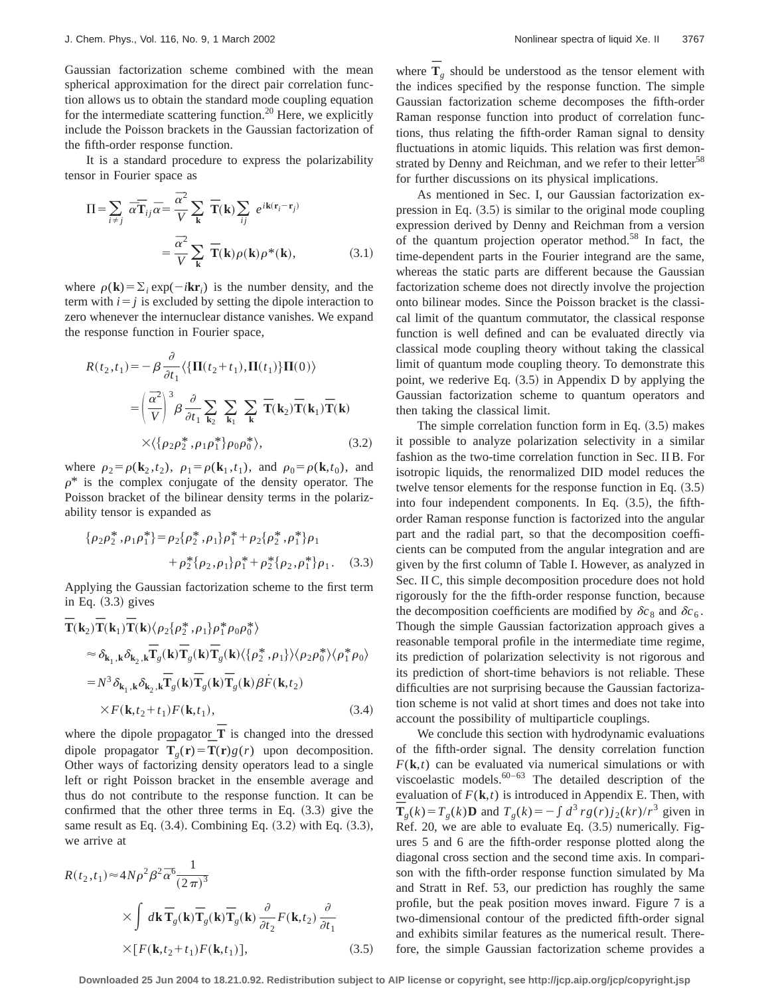Gaussian factorization scheme combined with the mean spherical approximation for the direct pair correlation function allows us to obtain the standard mode coupling equation for the intermediate scattering function.<sup>20</sup> Here, we explicitly include the Poisson brackets in the Gaussian factorization of the fifth-order response function.

It is a standard procedure to express the polarizability tensor in Fourier space as

$$
\Pi = \sum_{i \neq j} \overline{\alpha} \overline{\mathbf{T}}_{ij} \overline{\alpha} = \frac{\overline{\alpha}^2}{V} \sum_{\mathbf{k}} \overline{\mathbf{T}}(\mathbf{k}) \sum_{ij} e^{i\mathbf{k}(\mathbf{r}_i - \mathbf{r}_j)} \n= \frac{\overline{\alpha}^2}{V} \sum_{\mathbf{k}} \overline{\mathbf{T}}(\mathbf{k}) \rho(\mathbf{k}) \rho^*(\mathbf{k}),
$$
\n(3.1)

where  $\rho(\mathbf{k}) = \sum_i \exp(-i\mathbf{k}\mathbf{r}_i)$  is the number density, and the term with  $i = j$  is excluded by setting the dipole interaction to zero whenever the internuclear distance vanishes. We expand the response function in Fourier space,

$$
R(t_2, t_1) = -\beta \frac{\partial}{\partial t_1} \langle {\Pi(t_2 + t_1), \Pi(t_1)} \rangle \Pi(0) \rangle
$$
  
=  $\left(\frac{\bar{\alpha}^2}{V}\right)^3 \beta \frac{\partial}{\partial t_1} \sum_{\mathbf{k}_1} \sum_{\mathbf{k}_1} \sum_{\mathbf{k}} \overline{\mathbf{T}}(\mathbf{k}_2) \overline{\mathbf{T}}(\mathbf{k}_1) \overline{\mathbf{T}}(\mathbf{k})$   
 $\times \langle {\rho_2 \rho_2^*, \rho_1 \rho_1^*} \rangle \rho_0 \rho_0^* \rangle,$  (3.2)

where  $\rho_2 = \rho(\mathbf{k}_2, t_2)$ ,  $\rho_1 = \rho(\mathbf{k}_1, t_1)$ , and  $\rho_0 = \rho(\mathbf{k}, t_0)$ , and  $\rho^*$  is the complex conjugate of the density operator. The Poisson bracket of the bilinear density terms in the polarizability tensor is expanded as

$$
\{\rho_2 \rho_2^*, \rho_1 \rho_1^*\} = \rho_2 \{\rho_2^*, \rho_1\} \rho_1^* + \rho_2 \{\rho_2^*, \rho_1^*\} \rho_1
$$
  
+ 
$$
\rho_2^* \{\rho_2, \rho_1\} \rho_1^* + \rho_2^* \{\rho_2, \rho_1^*\} \rho_1. \quad (3.3)
$$

Applying the Gaussian factorization scheme to the first term in Eq.  $(3.3)$  gives

$$
\overline{\mathbf{T}}(\mathbf{k}_{2})\overline{\mathbf{T}}(\mathbf{k}_{1})\overline{\mathbf{T}}(\mathbf{k})\langle\rho_{2}\{\rho_{2}^{*},\rho_{1}\}\rho_{1}^{*}\rho_{0}\rho_{0}^{*}\rangle
$$
\n
$$
\approx \delta_{\mathbf{k}_{1},\mathbf{k}}\delta_{\mathbf{k}_{2},\mathbf{k}}\overline{\mathbf{T}}_{g}(\mathbf{k})\overline{\mathbf{T}}_{g}(\mathbf{k})\overline{\mathbf{T}}_{g}(\mathbf{k})\langle\{\rho_{2}^{*},\rho_{1}\}\rangle\langle\rho_{2}\rho_{0}^{*}\rangle\langle\rho_{1}^{*}\rho_{0}\rangle
$$
\n
$$
= N^{3}\delta_{\mathbf{k}_{1},\mathbf{k}}\delta_{\mathbf{k}_{2},\mathbf{k}}\overline{\mathbf{T}}_{g}(\mathbf{k})\overline{\mathbf{T}}_{g}(\mathbf{k})\overline{\mathbf{T}}_{g}(\mathbf{k})\beta\dot{F}(\mathbf{k},t_{2})
$$
\n
$$
\times F(\mathbf{k},t_{2}+t_{1})F(\mathbf{k},t_{1}), \qquad (3.4)
$$

where the dipole propagator  $\overline{T}$  is changed into the dressed dipole propagator  $\overline{T}_g(\mathbf{r}) = \overline{T}(\mathbf{r})g(r)$  upon decomposition. Other ways of factorizing density operators lead to a single left or right Poisson bracket in the ensemble average and thus do not contribute to the response function. It can be confirmed that the other three terms in Eq.  $(3.3)$  give the same result as Eq.  $(3.4)$ . Combining Eq.  $(3.2)$  with Eq.  $(3.3)$ , we arrive at

$$
R(t_2, t_1) \approx 4N\rho^2 \beta^2 \overline{\alpha}^6 \frac{1}{(2\pi)^3}
$$
  
 
$$
\times \int d\mathbf{k} \overline{\mathbf{T}}_g(\mathbf{k}) \overline{\mathbf{T}}_g(\mathbf{k}) \overline{\mathbf{T}}_g(\mathbf{k}) \frac{\partial}{\partial t_2} F(\mathbf{k}, t_2) \frac{\partial}{\partial t_1}
$$
  
 
$$
\times [F(\mathbf{k}, t_2 + t_1) F(\mathbf{k}, t_1)], \qquad (3.5)
$$

where  $\overline{\mathbf{T}}_g$  should be understood as the tensor element with the indices specified by the response function. The simple Gaussian factorization scheme decomposes the fifth-order Raman response function into product of correlation functions, thus relating the fifth-order Raman signal to density fluctuations in atomic liquids. This relation was first demonstrated by Denny and Reichman, and we refer to their letter<sup>58</sup> for further discussions on its physical implications.

As mentioned in Sec. I, our Gaussian factorization expression in Eq.  $(3.5)$  is similar to the original mode coupling expression derived by Denny and Reichman from a version of the quantum projection operator method.<sup>58</sup> In fact, the time-dependent parts in the Fourier integrand are the same, whereas the static parts are different because the Gaussian factorization scheme does not directly involve the projection onto bilinear modes. Since the Poisson bracket is the classical limit of the quantum commutator, the classical response function is well defined and can be evaluated directly via classical mode coupling theory without taking the classical limit of quantum mode coupling theory. To demonstrate this point, we rederive Eq.  $(3.5)$  in Appendix D by applying the Gaussian factorization scheme to quantum operators and then taking the classical limit.

The simple correlation function form in Eq.  $(3.5)$  makes it possible to analyze polarization selectivity in a similar fashion as the two-time correlation function in Sec. II B. For isotropic liquids, the renormalized DID model reduces the twelve tensor elements for the response function in Eq.  $(3.5)$ into four independent components. In Eq.  $(3.5)$ , the fifthorder Raman response function is factorized into the angular part and the radial part, so that the decomposition coefficients can be computed from the angular integration and are given by the first column of Table I. However, as analyzed in Sec. II C, this simple decomposition procedure does not hold rigorously for the the fifth-order response function, because the decomposition coefficients are modified by  $\delta c_8$  and  $\delta c_6$ . Though the simple Gaussian factorization approach gives a reasonable temporal profile in the intermediate time regime, its prediction of polarization selectivity is not rigorous and its prediction of short-time behaviors is not reliable. These difficulties are not surprising because the Gaussian factorization scheme is not valid at short times and does not take into account the possibility of multiparticle couplings.

We conclude this section with hydrodynamic evaluations of the fifth-order signal. The density correlation function  $F(\mathbf{k},t)$  can be evaluated via numerical simulations or with viscoelastic models. $60-63$  The detailed description of the evaluation of  $F(\mathbf{k},t)$  is introduced in Appendix E. Then, with  $\overline{T}_g(k) = T_g(k)$  D and  $T_g(k) = -\int d^3 r g(r) j_2(kr)/r^3$  given in Ref. 20, we are able to evaluate Eq.  $(3.5)$  numerically. Figures 5 and 6 are the fifth-order response plotted along the diagonal cross section and the second time axis. In comparison with the fifth-order response function simulated by Ma and Stratt in Ref. 53, our prediction has roughly the same profile, but the peak position moves inward. Figure 7 is a two-dimensional contour of the predicted fifth-order signal and exhibits similar features as the numerical result. Therefore, the simple Gaussian factorization scheme provides a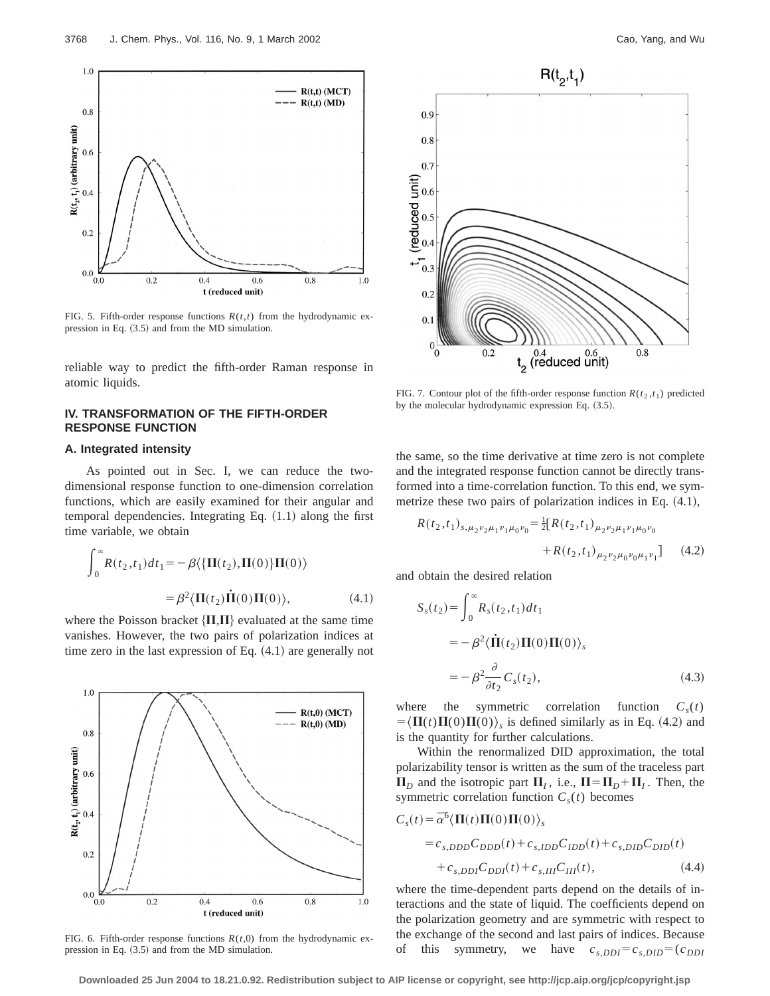

FIG. 5. Fifth-order response functions  $R(t,t)$  from the hydrodynamic expression in Eq.  $(3.5)$  and from the MD simulation.

reliable way to predict the fifth-order Raman response in atomic liquids.

# **IV. TRANSFORMATION OF THE FIFTH-ORDER RESPONSE FUNCTION**

## **A. Integrated intensity**

As pointed out in Sec. I, we can reduce the twodimensional response function to one-dimension correlation functions, which are easily examined for their angular and temporal dependencies. Integrating Eq.  $(1.1)$  along the first time variable, we obtain

$$
\int_0^\infty R(t_2, t_1) dt_1 = -\beta \langle {\Pi(t_2), \Pi(0)} \rangle \Pi(0) \rangle
$$
  
=  $\beta^2 \langle \Pi(t_2) \dot{\Pi}(0) \Pi(0) \rangle$ , (4.1)

where the Poisson bracket  $\{\Pi,\Pi\}$  evaluated at the same time vanishes. However, the two pairs of polarization indices at time zero in the last expression of Eq.  $(4.1)$  are generally not



FIG. 6. Fifth-order response functions  $R(t,0)$  from the hydrodynamic expression in Eq.  $(3.5)$  and from the MD simulation.



FIG. 7. Contour plot of the fifth-order response function  $R(t_2,t_1)$  predicted by the molecular hydrodynamic expression Eq.  $(3.5)$ .

the same, so the time derivative at time zero is not complete and the integrated response function cannot be directly transformed into a time-correlation function. To this end, we symmetrize these two pairs of polarization indices in Eq.  $(4.1)$ ,

$$
R(t_2, t_1)_{s, \mu_2 \nu_2 \mu_1 \nu_1 \mu_0 \nu_0} = \frac{1}{2} [R(t_2, t_1)_{\mu_2 \nu_2 \mu_1 \nu_1 \mu_0 \nu_0} + R(t_2, t_1)_{\mu_2 \nu_2 \mu_0 \nu_0 \mu_1 \nu_1}]
$$
(4.2)

and obtain the desired relation

$$
S_s(t_2) = \int_0^\infty R_s(t_2, t_1) dt_1
$$
  
=  $-\beta^2 \langle \dot{\Pi}(t_2) \Pi(0) \Pi(0) \rangle_s$   
=  $-\beta^2 \frac{\partial}{\partial t_2} C_s(t_2),$  (4.3)

where the symmetric correlation function  $C_s(t)$  $=\langle \Pi(t)\Pi(0)\Pi(0)\rangle_s$  is defined similarly as in Eq. (4.2) and is the quantity for further calculations.

Within the renormalized DID approximation, the total polarizability tensor is written as the sum of the traceless part  $\Pi_D$  and the isotropic part  $\Pi_I$ , i.e.,  $\Pi = \Pi_D + \Pi_I$ . Then, the symmetric correlation function  $C<sub>s</sub>(t)$  becomes

$$
C_s(t) = \overline{\alpha}^6 \langle \Pi(t) \Pi(0) \Pi(0) \rangle_s
$$
  
=  $c_{s, DDD} C_{DDD}(t) + c_{s, IDD} C_{IDD}(t) + c_{s, DID} C_{DID}(t)$   
+  $c_{s, DDI} C_{DDI}(t) + c_{s, III} C_{III}(t)$ , (4.4)

where the time-dependent parts depend on the details of interactions and the state of liquid. The coefficients depend on the polarization geometry and are symmetric with respect to the exchange of the second and last pairs of indices. Because of this symmetry, we have  $c_{s,DDI} = c_{s,DID} = (c_{DDI}$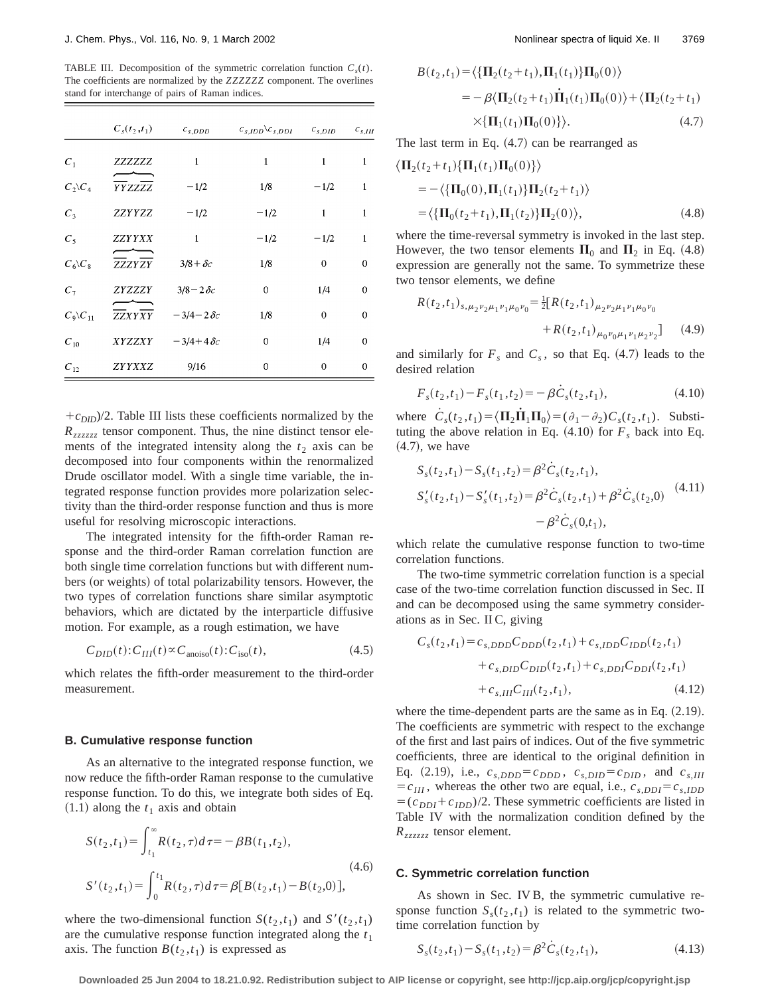TABLE III. Decomposition of the symmetric correlation function  $C_s(t)$ . The coefficients are normalized by the *ZZZZZZ* component. The overlines stand for interchange of pairs of Raman indices.

|                         | $C_{s}(t_{2},t_{1})$ | $c$ <sub>s</sub> , $D$ <i>DD</i> | $c_{s,IDD} \setminus c_{s,DDI}$ | $c_{s, DID}$ | $c_{s,III}$  |
|-------------------------|----------------------|----------------------------------|---------------------------------|--------------|--------------|
| $C_1$                   | ZZZZZZ               | $\mathbf{1}$                     | 1                               | 1            | $\mathbf{1}$ |
| $C_2\backslash C_4$     | <b>YYZZZZ</b>        | $-1/2$                           | 1/8                             | $-1/2$       | 1            |
| $C_3$                   | ZZYYZZ               | $-1/2$                           | $-1/2$                          | 1            | 1            |
| $C_5$                   | ZZYYXX               | 1                                | $-1/2$                          | $-1/2$       | 1            |
| $C_6$ \ $C_8$           | <b>ZZZYZY</b>        | $3/8 + \delta c$                 | 1/8                             | $\mathbf{0}$ | 0            |
| $C_7$                   | <b>ZYZZZY</b>        | $3/8 - 2 \delta c$               | $\mathbf{0}$                    | 1/4          | $\theta$     |
| $C_9 \backslash C_{11}$ | <b>ZZXYXY</b>        | $-3/4-2\delta c$                 | 1/8                             | $\mathbf{0}$ | 0            |
| $\boldsymbol{C}_{10}$   | <b>XYZZXY</b>        | $-3/4+4\delta c$                 | $\theta$                        | 1/4          | 0            |
| $C_{12}$                | <b>ZYYXXZ</b>        | 9/16                             | 0                               | $\theta$     | 0            |

 $+c_{DID}$ )/2. Table III lists these coefficients normalized by the *Rzzzzzz* tensor component. Thus, the nine distinct tensor elements of the integrated intensity along the  $t_2$  axis can be decomposed into four components within the renormalized Drude oscillator model. With a single time variable, the integrated response function provides more polarization selectivity than the third-order response function and thus is more useful for resolving microscopic interactions.

The integrated intensity for the fifth-order Raman response and the third-order Raman correlation function are both single time correlation functions but with different numbers (or weights) of total polarizability tensors. However, the two types of correlation functions share similar asymptotic behaviors, which are dictated by the interparticle diffusive motion. For example, as a rough estimation, we have

$$
C_{DID}(t):C_{III}(t) \propto C_{\text{anoiso}}(t):C_{\text{iso}}(t),\tag{4.5}
$$

which relates the fifth-order measurement to the third-order measurement.

#### **B. Cumulative response function**

As an alternative to the integrated response function, we now reduce the fifth-order Raman response to the cumulative response function. To do this, we integrate both sides of Eq.  $(1.1)$  along the  $t_1$  axis and obtain

$$
S(t_2, t_1) = \int_{t_1}^{\infty} R(t_2, \tau) d\tau = -\beta B(t_1, t_2),
$$
  
\n
$$
S'(t_2, t_1) = \int_{0}^{t_1} R(t_2, \tau) d\tau = \beta [B(t_2, t_1) - B(t_2, 0)],
$$
\n(4.6)

where the two-dimensional function  $S(t_2, t_1)$  and  $S'(t_2, t_1)$ are the cumulative response function integrated along the  $t_1$ axis. The function  $B(t_2,t_1)$  is expressed as

$$
B(t_2, t_1) = \langle {\{\mathbf{\Pi}_2(t_2 + t_1), \mathbf{\Pi}_1(t_1)\} \mathbf{\Pi}_0(0)} \rangle
$$
  
=  $-\beta \langle {\mathbf{\Pi}_2(t_2 + t_1) \mathbf{\Pi}_1(t_1) \mathbf{\Pi}_0(0)} \rangle + \langle {\mathbf{\Pi}_2(t_2 + t_1)} \rangle$   
 $\times \{ {\mathbf{\Pi}_1(t_1) \mathbf{\Pi}_0(0)} \rangle }.$  (4.7)

The last term in Eq.  $(4.7)$  can be rearranged as

$$
\langle \Pi_2(t_2 + t_1) \{ \Pi_1(t_1) \Pi_0(0) \} \rangle
$$
  
= - \langle \{ \Pi\_0(0), \Pi\_1(t\_1) \} \Pi\_2(t\_2 + t\_1) \rangle   
= \langle \{ \Pi\_0(t\_2 + t\_1), \Pi\_1(t\_2) \} \Pi\_2(0) \rangle, (4.8)

where the time-reversal symmetry is invoked in the last step. However, the two tensor elements  $\Pi_0$  and  $\Pi_2$  in Eq. (4.8) expression are generally not the same. To symmetrize these two tensor elements, we define

$$
R(t_2, t_1)_{s, \mu_2 \nu_2 \mu_1 \nu_1 \mu_0 \nu_0} = \frac{1}{2} [R(t_2, t_1)_{\mu_2 \nu_2 \mu_1 \nu_1 \mu_0 \nu_0} + R(t_2, t_1)_{\mu_0 \nu_0 \mu_1 \nu_1 \mu_2 \nu_2}] \tag{4.9}
$$

and similarly for  $F_s$  and  $C_s$ , so that Eq.  $(4.7)$  leads to the desired relation

$$
F_s(t_2, t_1) - F_s(t_1, t_2) = -\beta \dot{C}_s(t_2, t_1),
$$
\n(4.10)

where  $C_s(t_2,t_1) = \langle \prod_2 \Pi_1 \Pi_0 \rangle = (\partial_1 - \partial_2) C_s(t_2,t_1)$ . Substituting the above relation in Eq.  $(4.10)$  for  $F_s$  back into Eq.  $(4.7)$ , we have

$$
S_s(t_2, t_1) - S_s(t_1, t_2) = \beta^2 \dot{C}_s(t_2, t_1),
$$
  
\n
$$
S'_s(t_2, t_1) - S'_s(t_1, t_2) = \beta^2 \dot{C}_s(t_2, t_1) + \beta^2 \dot{C}_s(t_2, 0)
$$
\n
$$
- \beta^2 \dot{C}_s(0, t_1),
$$
\n(4.11)

which relate the cumulative response function to two-time correlation functions.

The two-time symmetric correlation function is a special case of the two-time correlation function discussed in Sec. II and can be decomposed using the same symmetry considerations as in Sec. II C, giving

$$
C_{s}(t_{2},t_{1}) = c_{s,DDD}C_{DDD}(t_{2},t_{1}) + c_{s,DDD}C_{IDD}(t_{2},t_{1}) + c_{s,DID}C_{DID}(t_{2},t_{1}) + c_{s,DID}(t_{2},t_{1}),
$$
\n
$$
+ c_{s,III}C_{III}(t_{2},t_{1}), \qquad (4.12)
$$

where the time-dependent parts are the same as in Eq.  $(2.19)$ . The coefficients are symmetric with respect to the exchange of the first and last pairs of indices. Out of the five symmetric coefficients, three are identical to the original definition in Eq. (2.19), i.e.,  $c_{s, DDD} = c_{DDD}$ ,  $c_{s, DID} = c_{DID}$ , and  $c_{s, III}$  $=c_{III}$ , whereas the other two are equal, i.e.,  $c_{s,DDI} = c_{s,IDD}$  $= (c_{DDI} + c_{IDD})/2$ . These symmetric coefficients are listed in Table IV with the normalization condition defined by the *Rzzzzzz* tensor element.

## **C. Symmetric correlation function**

As shown in Sec. IV B, the symmetric cumulative response function  $S<sub>s</sub>(t<sub>2</sub>, t<sub>1</sub>)$  is related to the symmetric twotime correlation function by

$$
S_s(t_2, t_1) - S_s(t_1, t_2) = \beta^2 \dot{C}_s(t_2, t_1),
$$
\n(4.13)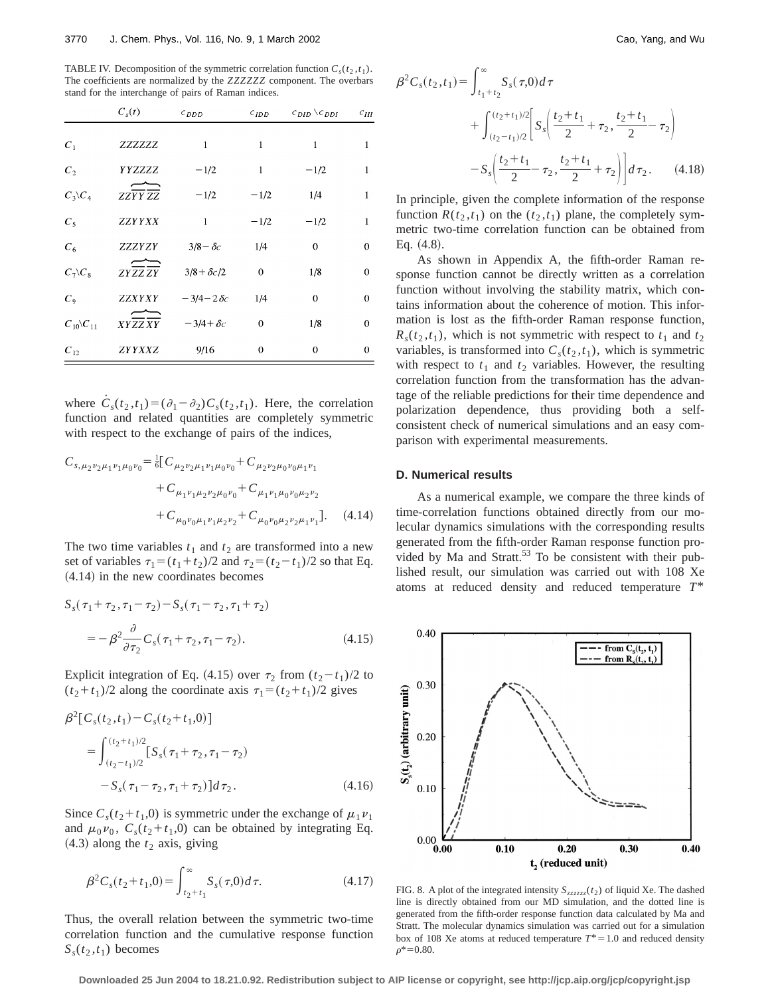TABLE IV. Decomposition of the symmetric correlation function  $C_s(t_2, t_1)$ . The coefficients are normalized by the *ZZZZZZ* component. The overbars stand for the interchange of pairs of Raman indices.

|                      | $C_{s}(t)$    | $c_{\it DDD}$      | $c_{IDD}$    | $c_{DID} \setminus c_{DDI}$ | $c_{III}$ |
|----------------------|---------------|--------------------|--------------|-----------------------------|-----------|
| $C_1$                | ZZZZZZ        | $\mathbf{1}$       | $\mathbf{1}$ | $\mathbf{1}$                | 1         |
| $C_{2}$              | YYZZZZ        | $-1/2$             | 1            | $-1/2$                      | 1         |
| $C_3 \backslash C_4$ | ZZYY ZZ       | $-1/2$             | $-1/2$       | 1/4                         | 1         |
| $C_5$                | ZZYYXX        | $\mathbf{1}$       | $-1/2$       | $-1/2$                      | 1         |
| $C_6$                | ZZZYZY        | $3/8 - \delta c$   | 1/4          | $\mathbf{0}$                | $\Omega$  |
| $C_7 \backslash C_8$ | ZY ZZ ZY      | $3/8 + \delta c/2$ | $\theta$     | 1/8                         | $\theta$  |
| $C_{9}$              | ZZXYXY        | $-3/4-2\delta c$   | 1/4          | $\theta$                    | $\Omega$  |
| $C_{10}$ $C_{11}$    | <b>XYZZXY</b> | $-3/4+\delta c$    | $\Omega$     | 1/8                         | $\Omega$  |
| $C_{12}$             | ZYYXXZ        | 9/16               | $\theta$     | 0                           | $\theta$  |

where  $\dot{C}_s(t_2,t_1)=(\partial_1-\partial_2)C_s(t_2,t_1)$ . Here, the correlation function and related quantities are completely symmetric with respect to the exchange of pairs of the indices,

$$
C_{s,\mu_2\nu_2\mu_1\nu_1\mu_0\nu_0} = \frac{1}{6} \left[ C_{\mu_2\nu_2\mu_1\nu_1\mu_0\nu_0} + C_{\mu_2\nu_2\mu_0\nu_0\mu_1\nu_1} + C_{\mu_1\nu_1\mu_2\nu_2\mu_0\nu_0} + C_{\mu_1\nu_1\mu_0\nu_0\mu_2\nu_2} + C_{\mu_0\nu_0\mu_1\nu_1\mu_2\nu_2} + C_{\mu_0\nu_0\mu_2\nu_2\mu_1\nu_1} \right].
$$
 (4.14)

The two time variables  $t_1$  and  $t_2$  are transformed into a new set of variables  $\tau_1 = (t_1 + t_2)/2$  and  $\tau_2 = (t_2 - t_1)/2$  so that Eq.  $(4.14)$  in the new coordinates becomes

$$
S_s(\tau_1 + \tau_2, \tau_1 - \tau_2) - S_s(\tau_1 - \tau_2, \tau_1 + \tau_2)
$$
  
=  $-\beta^2 \frac{\partial}{\partial \tau_2} C_s(\tau_1 + \tau_2, \tau_1 - \tau_2).$  (4.15)

Explicit integration of Eq. (4.15) over  $\tau_2$  from  $(t_2 - t_1)/2$  to  $(t_2+t_1)/2$  along the coordinate axis  $\tau_1=(t_2+t_1)/2$  gives

$$
\beta^{2} [C_{s}(t_{2}, t_{1}) - C_{s}(t_{2} + t_{1}, 0)]
$$
\n
$$
= \int_{(t_{2} - t_{1})/2}^{(t_{2} + t_{1})/2} [S_{s}(\tau_{1} + \tau_{2}, \tau_{1} - \tau_{2}) - S_{s}(\tau_{1} - \tau_{2}, \tau_{1} + \tau_{2})] d\tau_{2}. \qquad (4.16)
$$

Since  $C_s(t_2+t_1,0)$  is symmetric under the exchange of  $\mu_1\nu_1$ and  $\mu_0 \nu_0$ ,  $C_s(t_2 + t_1,0)$  can be obtained by integrating Eq.  $(4.3)$  along the  $t_2$  axis, giving

$$
\beta^2 C_s(t_2 + t_1, 0) = \int_{t_2 + t_1}^{\infty} S_s(\tau, 0) d\tau.
$$
 (4.17)

Thus, the overall relation between the symmetric two-time correlation function and the cumulative response function  $S<sub>s</sub>(t<sub>2</sub>, t<sub>1</sub>)$  becomes

$$
\beta^{2}C_{s}(t_{2},t_{1}) = \int_{t_{1}+t_{2}}^{\infty} S_{s}(\tau,0) d\tau + \int_{(t_{2}-t_{1})/2}^{(t_{2}+t_{1})/2} \left[ S_{s} \left( \frac{t_{2}+t_{1}}{2} + \tau_{2}, \frac{t_{2}+t_{1}}{2} - \tau_{2} \right) - S_{s} \left( \frac{t_{2}+t_{1}}{2} - \tau_{2}, \frac{t_{2}+t_{1}}{2} + \tau_{2} \right) \right] d\tau_{2}.
$$
 (4.18)

In principle, given the complete information of the response function  $R(t_2,t_1)$  on the  $(t_2,t_1)$  plane, the completely symmetric two-time correlation function can be obtained from Eq.  $(4.8)$ .

As shown in Appendix A, the fifth-order Raman response function cannot be directly written as a correlation function without involving the stability matrix, which contains information about the coherence of motion. This information is lost as the fifth-order Raman response function,  $R_s(t_2,t_1)$ , which is not symmetric with respect to  $t_1$  and  $t_2$ variables, is transformed into  $C_s(t_2,t_1)$ , which is symmetric with respect to  $t_1$  and  $t_2$  variables. However, the resulting correlation function from the transformation has the advantage of the reliable predictions for their time dependence and polarization dependence, thus providing both a selfconsistent check of numerical simulations and an easy comparison with experimental measurements.

### **D. Numerical results**

As a numerical example, we compare the three kinds of time-correlation functions obtained directly from our molecular dynamics simulations with the corresponding results generated from the fifth-order Raman response function provided by Ma and Stratt.<sup>53</sup> To be consistent with their published result, our simulation was carried out with 108 Xe atoms at reduced density and reduced temperature *T*\*



FIG. 8. A plot of the integrated intensity  $S_{zzzzzz}(t_2)$  of liquid Xe. The dashed line is directly obtained from our MD simulation, and the dotted line is generated from the fifth-order response function data calculated by Ma and Stratt. The molecular dynamics simulation was carried out for a simulation box of 108 Xe atoms at reduced temperature  $T^* = 1.0$  and reduced density  $\rho^*$ =0.80.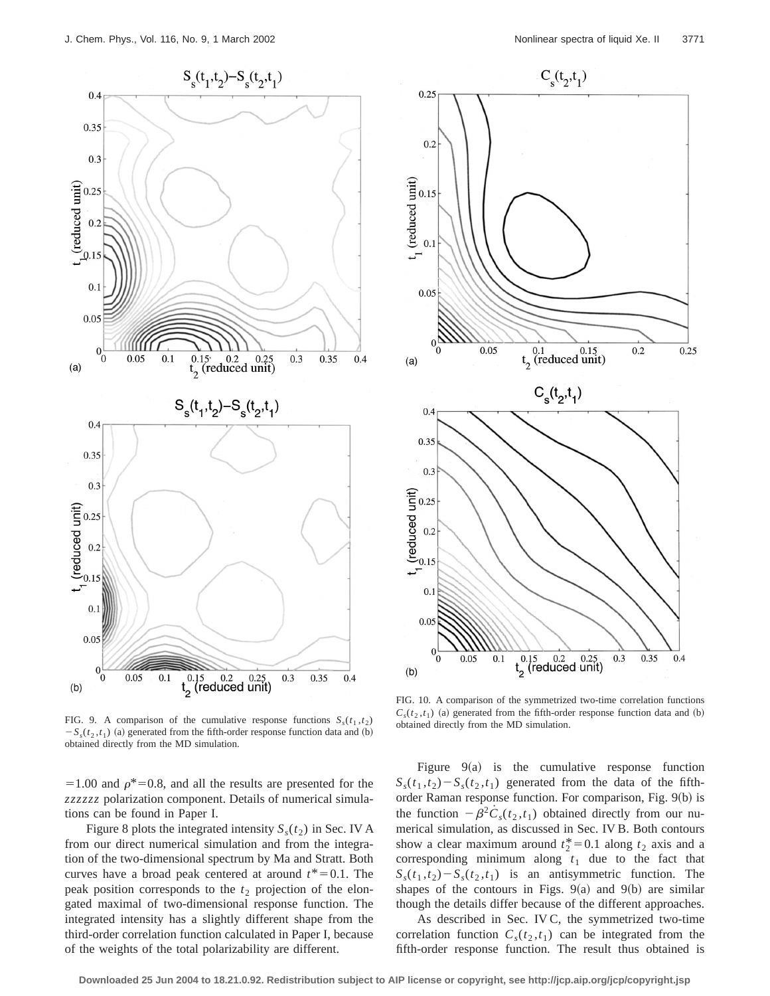

FIG. 9. A comparison of the cumulative response functions  $S<sub>s</sub>(t<sub>1</sub>, t<sub>2</sub>)$  $-S<sub>s</sub>(t<sub>2</sub>, t<sub>1</sub>)$  (a) generated from the fifth-order response function data and (b) obtained directly from the MD simulation.

=1.00 and  $\rho^*$ =0.8, and all the results are presented for the *zzzzzz* polarization component. Details of numerical simulations can be found in Paper I.

Figure 8 plots the integrated intensity  $S<sub>s</sub>(t<sub>2</sub>)$  in Sec. IV A from our direct numerical simulation and from the integration of the two-dimensional spectrum by Ma and Stratt. Both curves have a broad peak centered at around  $t^* = 0.1$ . The peak position corresponds to the  $t_2$  projection of the elongated maximal of two-dimensional response function. The integrated intensity has a slightly different shape from the third-order correlation function calculated in Paper I, because of the weights of the total polarizability are different.



FIG. 10. A comparison of the symmetrized two-time correlation functions  $C_s(t_2,t_1)$  (a) generated from the fifth-order response function data and (b) obtained directly from the MD simulation.

Figure  $9(a)$  is the cumulative response function  $S<sub>s</sub>(t<sub>1</sub>, t<sub>2</sub>) - S<sub>s</sub>(t<sub>2</sub>, t<sub>1</sub>)$  generated from the data of the fifthorder Raman response function. For comparison, Fig. 9(b) is the function  $-\beta^2C_s(t_2,t_1)$  obtained directly from our numerical simulation, as discussed in Sec. IV B. Both contours show a clear maximum around  $t_2^* = 0.1$  along  $t_2$  axis and a corresponding minimum along  $t_1$  due to the fact that  $S_s(t_1,t_2)-S_s(t_2,t_1)$  is an antisymmetric function. The shapes of the contours in Figs.  $9(a)$  and  $9(b)$  are similar though the details differ because of the different approaches.

As described in Sec. IV C, the symmetrized two-time correlation function  $C_s(t_2,t_1)$  can be integrated from the fifth-order response function. The result thus obtained is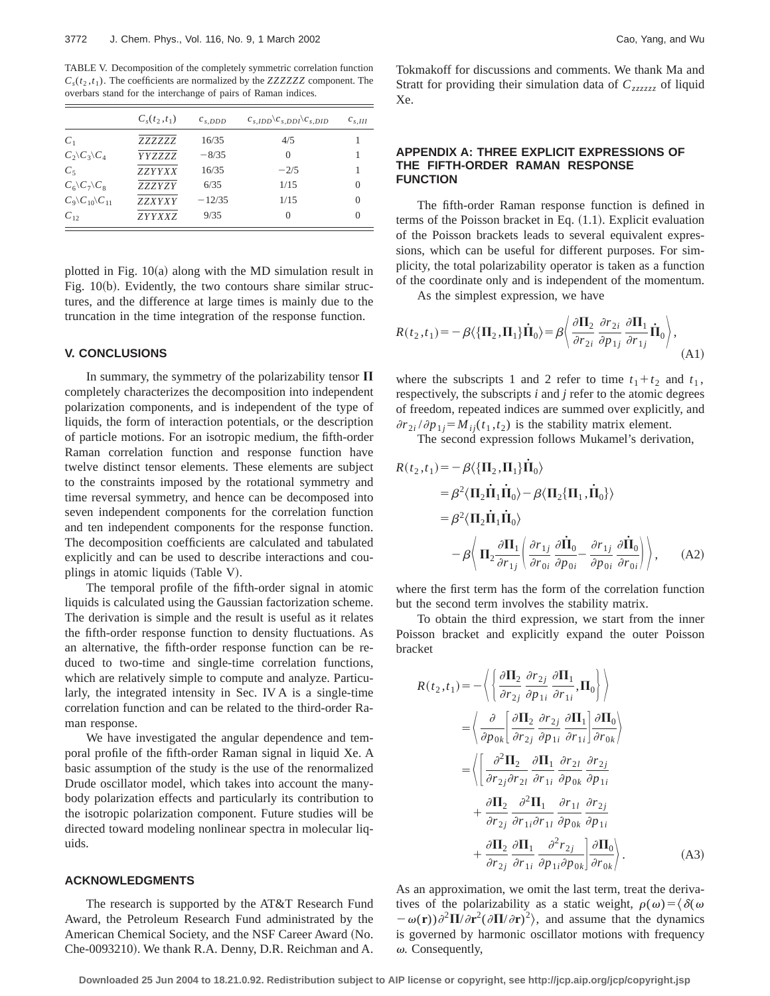TABLE V. Decomposition of the completely symmetric correlation function  $C_s(t_2,t_1)$ . The coefficients are normalized by the *ZZZZZZ* component. The overbars stand for the interchange of pairs of Raman indices.

|                                           | $C_{s}(t_2,t_1)$ | $c_{s,DDD}$ | $c_{s,IDD} \⊂>s,DDI} \&subs,DID$ | $c_{s,III}$ |
|-------------------------------------------|------------------|-------------|----------------------------------|-------------|
| $C_1$                                     | 7.7.7.7.7.       | 16/35       | 4/5                              |             |
| $C_2 \backslash C_3 \backslash C_4$       | Y Y Z Z Z Z      | $-8/35$     | $\Omega$                         |             |
| $C_{5}$                                   | <i>ZZYYXX</i>    | 16/35       | $-2/5$                           |             |
| $C_6\backslash C_7\backslash C_8$         | ZZZYZY           | 6/35        | 1/15                             | $\Omega$    |
| $C_9 \backslash C_{10} \backslash C_{11}$ | <i>ZZXYXY</i>    | $-12/35$    | 1/15                             | $\Omega$    |
| $C_{12}$                                  | ZYYXXZ           | 9/35        | $\Omega$                         | $\Omega$    |

plotted in Fig.  $10(a)$  along with the MD simulation result in Fig.  $10(b)$ . Evidently, the two contours share similar structures, and the difference at large times is mainly due to the truncation in the time integration of the response function.

# **V. CONCLUSIONS**

In summary, the symmetry of the polarizability tensor  $\Pi$ completely characterizes the decomposition into independent polarization components, and is independent of the type of liquids, the form of interaction potentials, or the description of particle motions. For an isotropic medium, the fifth-order Raman correlation function and response function have twelve distinct tensor elements. These elements are subject to the constraints imposed by the rotational symmetry and time reversal symmetry, and hence can be decomposed into seven independent components for the correlation function and ten independent components for the response function. The decomposition coefficients are calculated and tabulated explicitly and can be used to describe interactions and couplings in atomic liquids (Table V).

The temporal profile of the fifth-order signal in atomic liquids is calculated using the Gaussian factorization scheme. The derivation is simple and the result is useful as it relates the fifth-order response function to density fluctuations. As an alternative, the fifth-order response function can be reduced to two-time and single-time correlation functions, which are relatively simple to compute and analyze. Particularly, the integrated intensity in Sec. IV A is a single-time correlation function and can be related to the third-order Raman response.

We have investigated the angular dependence and temporal profile of the fifth-order Raman signal in liquid Xe. A basic assumption of the study is the use of the renormalized Drude oscillator model, which takes into account the manybody polarization effects and particularly its contribution to the isotropic polarization component. Future studies will be directed toward modeling nonlinear spectra in molecular liquids.

# **ACKNOWLEDGMENTS**

The research is supported by the AT&T Research Fund Award, the Petroleum Research Fund administrated by the American Chemical Society, and the NSF Career Award (No. Che-0093210). We thank R.A. Denny, D.R. Reichman and A. Tokmakoff for discussions and comments. We thank Ma and Stratt for providing their simulation data of *Czzzzzz* of liquid Xe.

## **APPENDIX A: THREE EXPLICIT EXPRESSIONS OF THE FIFTH-ORDER RAMAN RESPONSE FUNCTION**

The fifth-order Raman response function is defined in terms of the Poisson bracket in Eq.  $(1.1)$ . Explicit evaluation of the Poisson brackets leads to several equivalent expressions, which can be useful for different purposes. For simplicity, the total polarizability operator is taken as a function of the coordinate only and is independent of the momentum.

As the simplest expression, we have

$$
R(t_2, t_1) = -\beta \langle {\{\mathbf{\Pi}_2, \mathbf{\Pi}_1\}} \dot{\mathbf{\Pi}}_0 \rangle = \beta \langle \frac{\partial \mathbf{\Pi}_2}{\partial r_{2i}} \frac{\partial r_{2i}}{\partial p_{1j}} \frac{\partial \mathbf{\Pi}_1}{\partial r_{1j}} \dot{\mathbf{\Pi}}_0 \rangle, \tag{A1}
$$

where the subscripts 1 and 2 refer to time  $t_1 + t_2$  and  $t_1$ , respectively, the subscripts *i* and *j* refer to the atomic degrees of freedom, repeated indices are summed over explicitly, and  $\partial r_{2i} / \partial p_{1j} = M_{ij}(t_1, t_2)$  is the stability matrix element.

The second expression follows Mukamel's derivation,

$$
R(t_2, t_1) = -\beta \langle {\{\mathbf{\Pi}_2, \mathbf{\Pi}_1\} \dot{\mathbf{\Pi}}_0} \rangle
$$
  
\n
$$
= \beta^2 \langle {\mathbf{\Pi}_2 \dot{\mathbf{\Pi}}_1 \dot{\mathbf{\Pi}}_0} \rangle - \beta \langle {\mathbf{\Pi}_2 \{\mathbf{\Pi}_1, \dot{\mathbf{\Pi}}_0\}} \rangle
$$
  
\n
$$
= \beta^2 \langle {\mathbf{\Pi}_2 \dot{\mathbf{\Pi}}_1 \dot{\mathbf{\Pi}}_0} \rangle
$$
  
\n
$$
- \beta \langle {\mathbf{\Pi}_2 \frac{\partial \mathbf{\Pi}_1}{\partial r_{1j}} \left( \frac{\partial r_{1j}}{\partial r_{0i}} \frac{\partial \dot{\mathbf{\Pi}}_0}{\partial p_{0i}} - \frac{\partial r_{1j}}{\partial p_{0i}} \frac{\partial \dot{\mathbf{\Pi}}_0}{\partial r_{0i}} \right)} \rangle,
$$
 (A2)

where the first term has the form of the correlation function but the second term involves the stability matrix.

To obtain the third expression, we start from the inner Poisson bracket and explicitly expand the outer Poisson bracket

$$
R(t_2, t_1) = -\left\langle \left\{ \frac{\partial \Pi_2}{\partial r_{2j}} \frac{\partial r_{2j}}{\partial p_{1i}} \frac{\partial \Pi_1}{\partial r_{1i}}, \Pi_0 \right\} \right\rangle
$$
  
\n
$$
= \left\langle \frac{\partial}{\partial p_{0k}} \left[ \frac{\partial \Pi_2}{\partial r_{2j}} \frac{\partial r_{2j}}{\partial p_{1i}} \frac{\partial \Pi_1}{\partial r_{1i}} \right] \frac{\partial \Pi_0}{\partial r_{0k}} \right\rangle
$$
  
\n
$$
= \left\langle \left[ \frac{\partial^2 \Pi_2}{\partial r_{2j} \partial r_{2l}} \frac{\partial \Pi_1}{\partial r_{1i}} \frac{\partial r_{2l}}{\partial p_{0k}} \frac{\partial r_{2j}}{\partial p_{1i}} \right. \right.
$$
  
\n
$$
+ \frac{\partial \Pi_2}{\partial r_{2j}} \frac{\partial^2 \Pi_1}{\partial r_{1i} \partial r_{1l}} \frac{\partial r_{1l}}{\partial p_{0k}} \frac{\partial r_{2j}}{\partial p_{1i}} \right. \left. + \frac{\partial \Pi_2}{\partial r_{2j}} \frac{\partial \Pi_1}{\partial r_{1i}} \frac{\partial^2 r_{2j}}{\partial p_{1i} \partial p_{0k}} \right| \frac{\partial \Pi_0}{\partial r_{0k}} \right\rangle.
$$
 (A3)

As an approximation, we omit the last term, treat the derivatives of the polarizability as a static weight,  $\rho(\omega) = \langle \delta(\omega)$  $-\omega(\mathbf{r})\partial^2\Pi/\partial\mathbf{r}^2(\partial\Pi/\partial\mathbf{r})^2$ , and assume that the dynamics is governed by harmonic oscillator motions with frequency  $\omega$ . Consequently,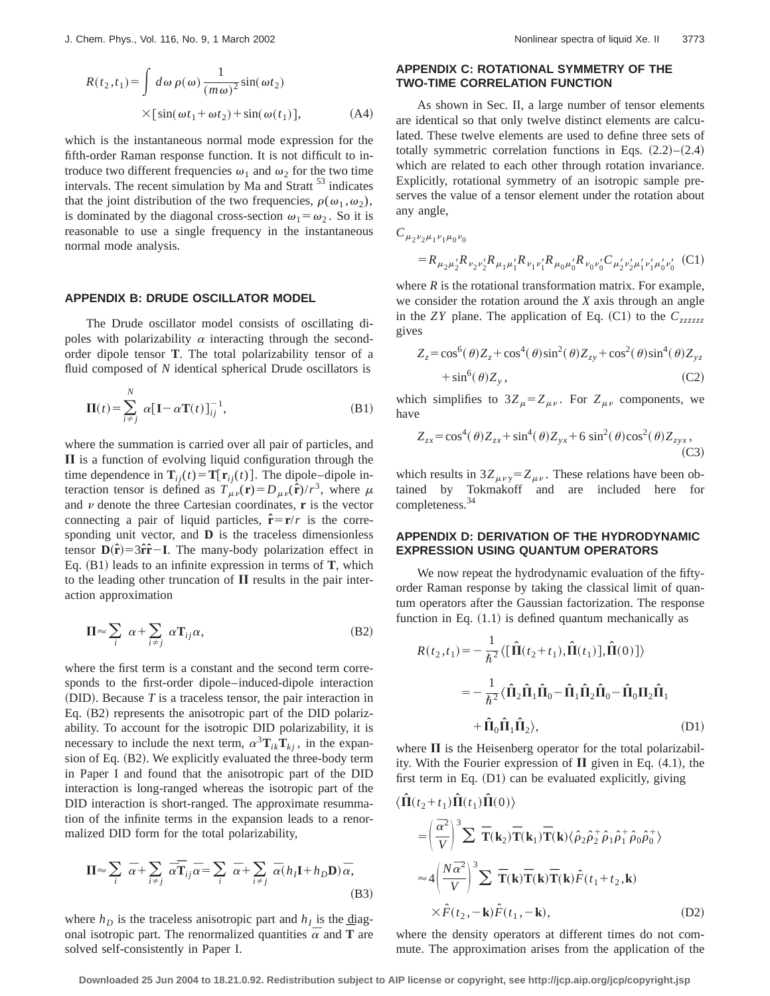$$
R(t_2, t_1) = \int d\omega \, \rho(\omega) \frac{1}{(m\omega)^2} \sin(\omega t_2)
$$
  
×[sin( $\omega t_1 + \omega t_2$ ) + sin( $\omega(t_1$ )], (A4)

which is the instantaneous normal mode expression for the fifth-order Raman response function. It is not difficult to introduce two different frequencies  $\omega_1$  and  $\omega_2$  for the two time intervals. The recent simulation by Ma and Stratt  $53$  indicates that the joint distribution of the two frequencies,  $\rho(\omega_1, \omega_2)$ , is dominated by the diagonal cross-section  $\omega_1 = \omega_2$ . So it is reasonable to use a single frequency in the instantaneous normal mode analysis.

### **APPENDIX B: DRUDE OSCILLATOR MODEL**

The Drude oscillator model consists of oscillating dipoles with polarizability  $\alpha$  interacting through the secondorder dipole tensor **T**. The total polarizability tensor of a fluid composed of *N* identical spherical Drude oscillators is

$$
\Pi(t) = \sum_{i \neq j}^{N} \alpha [\mathbf{I} - \alpha \mathbf{T}(t)]_{ij}^{-1},
$$
\n(B1)

where the summation is carried over all pair of particles, and  $\Pi$  is a function of evolving liquid configuration through the time dependence in  $\mathbf{T}_{ij}(t) = \mathbf{T}[\mathbf{r}_{ij}(t)]$ . The dipole–dipole interaction tensor is defined as  $T_{\mu\nu}(\mathbf{r}) = D_{\mu\nu}(\hat{\mathbf{r}})/r^3$ , where  $\mu$ and  $\nu$  denote the three Cartesian coordinates, **r** is the vector connecting a pair of liquid particles,  $\hat{\mathbf{r}} = \mathbf{r}/r$  is the corresponding unit vector, and **D** is the traceless dimensionless tensor  $\mathbf{D}(\hat{\mathbf{r}}) = 3\hat{\mathbf{r}}\hat{\mathbf{r}} - \mathbf{I}$ . The many-body polarization effect in Eq.  $(B1)$  leads to an infinite expression in terms of **T**, which to the leading other truncation of  $\Pi$  results in the pair interaction approximation

$$
\Pi \approx \sum_{i} \alpha + \sum_{i \neq j} \alpha \mathbf{T}_{ij} \alpha, \tag{B2}
$$

where the first term is a constant and the second term corresponds to the first-order dipole–induced-dipole interaction  $(DID)$ . Because  $T$  is a traceless tensor, the pair interaction in Eq.  $(B2)$  represents the anisotropic part of the DID polarizability. To account for the isotropic DID polarizability, it is necessary to include the next term,  $\alpha^3 \mathbf{T}_{ik} \mathbf{T}_{kj}$ , in the expansion of Eq. (B2). We explicitly evaluated the three-body term in Paper I and found that the anisotropic part of the DID interaction is long-ranged whereas the isotropic part of the DID interaction is short-ranged. The approximate resummation of the infinite terms in the expansion leads to a renormalized DID form for the total polarizability,

$$
\Pi \approx \sum_{i} \overline{\alpha} + \sum_{i \neq j} \overline{\alpha} \overline{\mathbf{T}}_{ij} \overline{\alpha} = \sum_{i} \overline{\alpha} + \sum_{i \neq j} \overline{\alpha} (h_i \mathbf{I} + h_D \mathbf{D}) \overline{\alpha},
$$
\n(B3)

where  $h_D$  is the traceless anisotropic part and  $h_I$  is the diagwhere  $n_D$  is the traceless anisotropic part and  $n_I$  is the diag-<br>onal isotropic part. The renormalized quantities  $\bar{\alpha}$  and  $\bar{T}$  are solved self-consistently in Paper I.

## **APPENDIX C: ROTATIONAL SYMMETRY OF THE TWO-TIME CORRELATION FUNCTION**

As shown in Sec. II, a large number of tensor elements are identical so that only twelve distinct elements are calculated. These twelve elements are used to define three sets of totally symmetric correlation functions in Eqs.  $(2.2)$ – $(2.4)$ which are related to each other through rotation invariance. Explicitly, rotational symmetry of an isotropic sample preserves the value of a tensor element under the rotation about any angle,

 $C_{\mu_2 \nu_2 \mu_1 \nu_1 \mu_0 \nu_0}$ 

$$
=R_{\mu_2\mu_2'}R_{\nu_2\nu_2'}R_{\mu_1\mu_1'}R_{\nu_1\nu_1'}R_{\mu_0\mu_0'}R_{\nu_0\nu_0'}C_{\mu_2'\nu_2'\mu_1'\nu_1'\mu_0'\nu_0'}\tag{C1}
$$

where  $R$  is the rotational transformation matrix. For example, we consider the rotation around the *X* axis through an angle in the *ZY* plane. The application of Eq. (C1) to the  $C_{zzzzzz}$ gives

$$
Z_z = \cos^6(\theta) Z_z + \cos^4(\theta) \sin^2(\theta) Z_{zy} + \cos^2(\theta) \sin^4(\theta) Z_{yz}
$$
  
+ 
$$
\sin^6(\theta) Z_y,
$$
 (C2)

which simplifies to  $3Z_{\mu}=Z_{\mu\nu}$ . For  $Z_{\mu\nu}$  components, we have

$$
Z_{zx} = \cos^4(\theta) Z_{zx} + \sin^4(\theta) Z_{yx} + 6 \sin^2(\theta) \cos^2(\theta) Z_{zyx},
$$
\n(C3)

which results in  $3Z_{\mu\nu\gamma} = Z_{\mu\nu}$ . These relations have been obtained by Tokmakoff and are included here for completeness.34

### **APPENDIX D: DERIVATION OF THE HYDRODYNAMIC EXPRESSION USING QUANTUM OPERATORS**

We now repeat the hydrodynamic evaluation of the fiftyorder Raman response by taking the classical limit of quantum operators after the Gaussian factorization. The response function in Eq.  $(1.1)$  is defined quantum mechanically as

$$
R(t_2, t_1) = -\frac{1}{\hbar^2} \langle [\hat{\mathbf{\Pi}}(t_2 + t_1), \hat{\mathbf{\Pi}}(t_1)], \hat{\mathbf{\Pi}}(0)] \rangle
$$
  

$$
= -\frac{1}{\hbar^2} \langle \hat{\mathbf{\Pi}}_2 \hat{\mathbf{\Pi}}_1 \hat{\mathbf{\Pi}}_0 - \hat{\mathbf{\Pi}}_1 \hat{\mathbf{\Pi}}_2 \hat{\mathbf{\Pi}}_0 - \hat{\mathbf{\Pi}}_0 \mathbf{\Pi}_2 \hat{\mathbf{\Pi}}_1
$$

$$
+ \hat{\mathbf{\Pi}}_0 \hat{\mathbf{\Pi}}_1 \hat{\mathbf{\Pi}}_2 \rangle, \tag{D1}
$$

where  $\Pi$  is the Heisenberg operator for the total polarizability. With the Fourier expression of  $\Pi$  given in Eq. (4.1), the first term in Eq.  $(D1)$  can be evaluated explicitly, giving

$$
\langle \hat{\Pi}(t_2 + t_1) \hat{\Pi}(t_1) \hat{\Pi}(0) \rangle
$$
  
\n=
$$
\left( \frac{\bar{\alpha}^2}{V} \right)^3 \sum \overline{\mathbf{T}}(\mathbf{k}_2) \overline{\mathbf{T}}(\mathbf{k}_1) \overline{\mathbf{T}}(\mathbf{k}) \langle \hat{\rho}_2 \hat{\rho}_2^+ \hat{\rho}_1 \hat{\rho}_1^+ \hat{\rho}_0 \hat{\rho}_0^+ \rangle
$$
  
\n
$$
\approx 4 \left( \frac{N \bar{\alpha}^2}{V} \right)^3 \sum \overline{\mathbf{T}}(\mathbf{k}) \overline{\mathbf{T}}(\mathbf{k}) \overline{\mathbf{T}}(\mathbf{k}) \hat{F}(t_1 + t_2, \mathbf{k})
$$
  
\n
$$
\times \hat{F}(t_2, -\mathbf{k}) \hat{F}(t_1, -\mathbf{k}),
$$
 (D2)

where the density operators at different times do not commute. The approximation arises from the application of the

**Downloaded 25 Jun 2004 to 18.21.0.92. Redistribution subject to AIP license or copyright, see http://jcp.aip.org/jcp/copyright.jsp**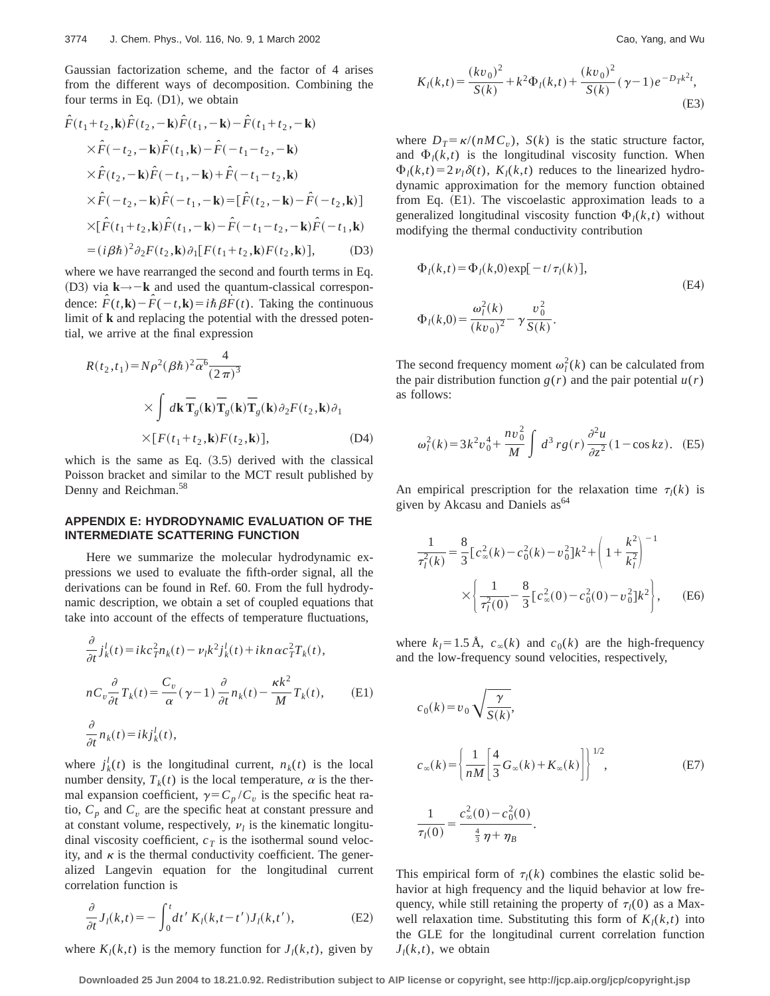Gaussian factorization scheme, and the factor of 4 arises from the different ways of decomposition. Combining the four terms in Eq.  $(D1)$ , we obtain

$$
\hat{F}(t_1+t_2,\mathbf{k})\hat{F}(t_2,-\mathbf{k})\hat{F}(t_1,-\mathbf{k})-\hat{F}(t_1+t_2,-\mathbf{k})\n\times \hat{F}(-t_2,-\mathbf{k})\hat{F}(t_1,\mathbf{k})-\hat{F}(-t_1-t_2,-\mathbf{k})\n\times \hat{F}(t_2,-\mathbf{k})\hat{F}(-t_1,-\mathbf{k})+\hat{F}(-t_1-t_2,\mathbf{k})\n\times \hat{F}(-t_2,-\mathbf{k})\hat{F}(-t_1,-\mathbf{k})=[\hat{F}(t_2,-\mathbf{k})-\hat{F}(-t_2,\mathbf{k})]\n\times[\hat{F}(t_1+t_2,\mathbf{k})\hat{F}(t_1,-\mathbf{k})-\hat{F}(-t_1-t_2,-\mathbf{k})\hat{F}(-t_1,\mathbf{k})\n=(i\beta\hbar)^2\partial_2F(t_2,\mathbf{k})\partial_1[F(t_1+t_2,\mathbf{k})F(t_2,\mathbf{k})],
$$
\n(D3)

where we have rearranged the second and fourth terms in Eq. (D3) via  $k \rightarrow -k$  and used the quantum-classical correspondence:  $\hat{F}(t, \mathbf{k}) - \hat{F}(-t, \mathbf{k}) = i\hbar \hat{B}\hat{F}(t)$ . Taking the continuous limit of **k** and replacing the potential with the dressed potential, we arrive at the final expression

$$
R(t_2, t_1) = N\rho^2 (\beta \hbar)^2 \overline{\alpha}^6 \frac{4}{(2\pi)^3}
$$
  
 
$$
\times \int d\mathbf{k} \overline{\mathbf{T}}_g(\mathbf{k}) \overline{\mathbf{T}}_g(\mathbf{k}) \partial_2 F(t_2, \mathbf{k}) \partial_1
$$
  
 
$$
\times [F(t_1 + t_2, \mathbf{k}) F(t_2, \mathbf{k})], \qquad (D4)
$$

which is the same as Eq.  $(3.5)$  derived with the classical Poisson bracket and similar to the MCT result published by Denny and Reichman.<sup>58</sup>

### **APPENDIX E: HYDRODYNAMIC EVALUATION OF THE INTERMEDIATE SCATTERING FUNCTION**

Here we summarize the molecular hydrodynamic expressions we used to evaluate the fifth-order signal, all the derivations can be found in Ref. 60. From the full hydrodynamic description, we obtain a set of coupled equations that take into account of the effects of temperature fluctuations,

$$
\frac{\partial}{\partial t} j_k^l(t) = ikc_T^2 n_k(t) - \nu_l k^2 j_k^l(t) + ikn \alpha c_T^2 T_k(t),
$$
  

$$
nC_v \frac{\partial}{\partial t} T_k(t) = \frac{C_v}{\alpha} (\gamma - 1) \frac{\partial}{\partial t} n_k(t) - \frac{\kappa k^2}{M} T_k(t),
$$
 (E1)

$$
\frac{\partial}{\partial t}n_k(t)=ikj_k^l(t),
$$

where  $j_k^l(t)$  is the longitudinal current,  $n_k(t)$  is the local number density,  $T_k(t)$  is the local temperature,  $\alpha$  is the thermal expansion coefficient,  $\gamma = C_p / C_v$  is the specific heat ratio,  $C_p$  and  $C_v$  are the specific heat at constant pressure and at constant volume, respectively,  $\nu_l$  is the kinematic longitudinal viscosity coefficient,  $c_T$  is the isothermal sound velocity, and  $\kappa$  is the thermal conductivity coefficient. The generalized Langevin equation for the longitudinal current correlation function is

$$
\frac{\partial}{\partial t}J_l(k,t) = -\int_0^t dt' K_l(k,t-t')J_l(k,t'),\tag{E2}
$$

where  $K_l(k,t)$  is the memory function for  $J_l(k,t)$ , given by

$$
K_l(k,t) = \frac{(kv_0)^2}{S(k)} + k^2 \Phi_l(k,t) + \frac{(kv_0)^2}{S(k)} (\gamma - 1) e^{-D_T k^2 t},
$$
\n(E3)

where  $D_T = \kappa/(nMC_v)$ ,  $S(k)$  is the static structure factor, and  $\Phi_l(k,t)$  is the longitudinal viscosity function. When  $\Phi_l(k,t) = 2 \nu_l \delta(t)$ ,  $K_l(k,t)$  reduces to the linearized hydrodynamic approximation for the memory function obtained from Eq.  $(E1)$ . The viscoelastic approximation leads to a generalized longitudinal viscosity function  $\Phi_l(k,t)$  without modifying the thermal conductivity contribution

$$
\Phi_{l}(k,t) = \Phi_{l}(k,0) \exp[-t/\tau_{l}(k)],
$$
\n
$$
\Phi_{l}(k,0) = \frac{\omega_{l}^{2}(k)}{(kv_{0})^{2}} - \gamma \frac{v_{0}^{2}}{S(k)}.
$$
\n(B4)

The second frequency moment  $\omega_l^2(k)$  can be calculated from the pair distribution function  $g(r)$  and the pair potential  $u(r)$ as follows:

$$
\omega_l^2(k) = 3k^2v_0^4 + \frac{nv_0^2}{M} \int d^3r g(r) \frac{\partial^2 u}{\partial z^2} (1 - \cos kz). \quad (E5)
$$

An empirical prescription for the relaxation time  $\tau_l(k)$  is given by Akcasu and Daniels  $as^{64}$ 

$$
\frac{1}{\tau_l^2(k)} = \frac{8}{3} \left[ c_\infty^2(k) - c_0^2(k) - v_0^2 \right] k^2 + \left( 1 + \frac{k^2}{k_l^2} \right)^{-1}
$$

$$
\times \left\{ \frac{1}{\tau_l^2(0)} - \frac{8}{3} \left[ c_\infty^2(0) - c_0^2(0) - v_0^2 \right] k^2 \right\}, \qquad (E6)
$$

where  $k_1=1.5 \text{ Å}$ ,  $c_{\infty}(k)$  and  $c_0(k)$  are the high-frequency and the low-frequency sound velocities, respectively,

$$
c_0(k) = v_0 \sqrt{\frac{\gamma}{S(k)}},
$$
  
\n
$$
c_{\infty}(k) = \left\{ \frac{1}{nM} \left[ \frac{4}{3} G_{\infty}(k) + K_{\infty}(k) \right] \right\}^{1/2},
$$
  
\n
$$
\frac{1}{\tau_l(0)} = \frac{c_{\infty}^2(0) - c_0^2(0)}{\frac{4}{3} \eta + \eta_R}.
$$
 (E7)

This empirical form of  $\tau_l(k)$  combines the elastic solid behavior at high frequency and the liquid behavior at low frequency, while still retaining the property of  $\tau_l(0)$  as a Maxwell relaxation time. Substituting this form of  $K_l(k,t)$  into the GLE for the longitudinal current correlation function  $J_l(k,t)$ , we obtain

 $\frac{4}{3}$   $\eta$  +  $\eta$ <sub>B</sub>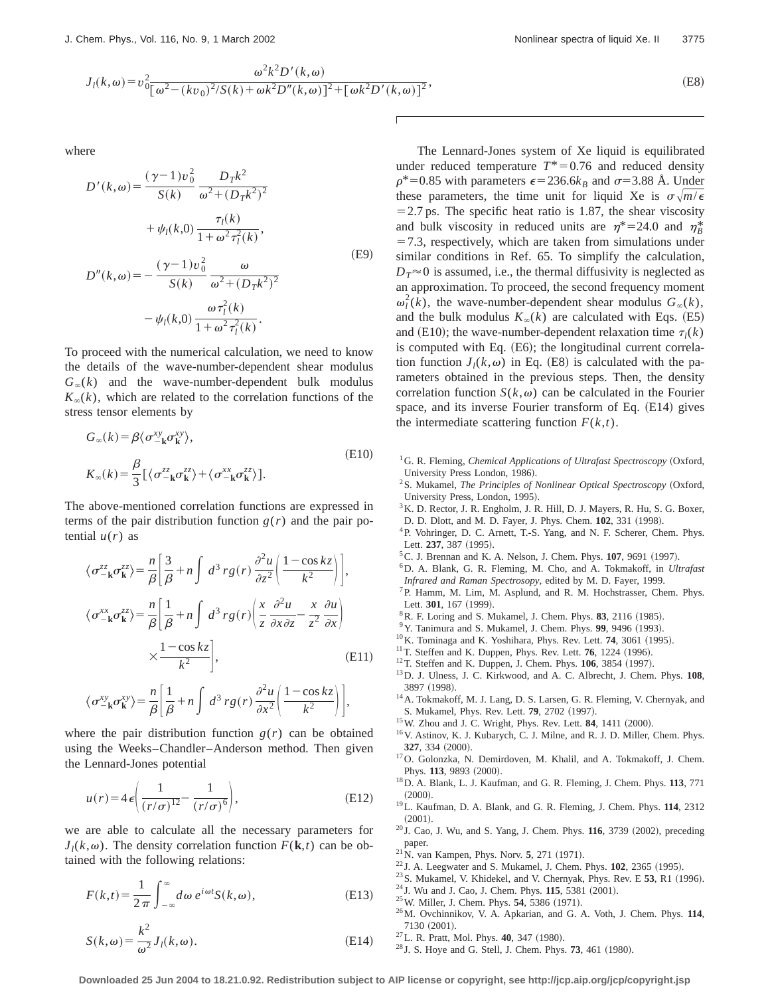$$
\overline{2},\tag{E8}
$$

$$
J_{l}(k,\omega) = v_{0}^{2} \frac{\omega^{2} k^{2} D'(k,\omega)}{[\omega^{2} - (kv_{0})^{2}/S(k) + \omega k^{2} D''(k,\omega)]^{2} + [\omega k^{2} D'(k,\omega)]}
$$

where

$$
D'(k,\omega) = \frac{(\gamma - 1)v_0^2}{S(k)} \frac{D_T k^2}{\omega^2 + (D_T k^2)^2} + \psi_l(k,0) \frac{\tau_l(k)}{1 + \omega^2 \tau_l^2(k)},
$$
  

$$
D''(k,\omega) = -\frac{(\gamma - 1)v_0^2}{S(k)} \frac{\omega}{\omega^2 + (D_T k^2)^2} - \psi_l(k,0) \frac{\omega \tau_l^2(k)}{1 + \omega^2 \tau_l^2(k)}.
$$
 (E9)

To proceed with the numerical calculation, we need to know the details of the wave-number-dependent shear modulus  $G_{\infty}(k)$  and the wave-number-dependent bulk modulus  $K_{\infty}(k)$ , which are related to the correlation functions of the stress tensor elements by

$$
G_{\infty}(k) = \beta \langle \sigma_{-k}^{xy} \sigma_{k}^{xy} \rangle, K_{\infty}(k) = \frac{\beta}{3} [\langle \sigma_{-k}^{zz} \sigma_{k}^{zz} \rangle + \langle \sigma_{-k}^{xx} \sigma_{k}^{zz} \rangle].
$$
 (E10)

The above-mentioned correlation functions are expressed in terms of the pair distribution function  $g(r)$  and the pair potential  $u(r)$  as

$$
\langle \sigma_{-\mathbf{k}}^{zz} \sigma_{\mathbf{k}}^{zz} \rangle = \frac{n}{\beta} \left[ \frac{3}{\beta} + n \int d^3 r g(r) \frac{\partial^2 u}{\partial z^2} \left( \frac{1 - \cos kz}{k^2} \right) \right],
$$
  

$$
\langle \sigma_{-\mathbf{k}}^{xx} \sigma_{\mathbf{k}}^{zz} \rangle = \frac{n}{\beta} \left[ \frac{1}{\beta} + n \int d^3 r g(r) \left( \frac{x}{z} \frac{\partial^2 u}{\partial x \partial z} - \frac{x}{z^2} \frac{\partial u}{\partial x} \right) \right]
$$

$$
\times \frac{1 - \cos kz}{k^2}, \qquad (E11)
$$

$$
\langle \sigma_{-\mathbf{k}}^{xy} \sigma_{\mathbf{k}}^{xy} \rangle = \frac{n}{\beta} \left[ \frac{1}{\beta} + n \int d^3 r g(r) \frac{\partial^2 u}{\partial x^2} \left( \frac{1 - \cos kz}{k^2} \right) \right],
$$

where the pair distribution function  $g(r)$  can be obtained using the Weeks–Chandler–Anderson method. Then given the Lennard-Jones potential

$$
u(r) = 4\,\epsilon \bigg(\frac{1}{(r/\sigma)^{12}} - \frac{1}{(r/\sigma)^6}\bigg),\tag{E12}
$$

we are able to calculate all the necessary parameters for  $J_l(k,\omega)$ . The density correlation function  $F(\mathbf{k},t)$  can be obtained with the following relations:

$$
F(k,t) = \frac{1}{2\pi} \int_{-\infty}^{\infty} d\omega \, e^{i\omega t} S(k,\omega), \tag{E13}
$$

$$
S(k,\omega) = \frac{k^2}{\omega^2} J_l(k,\omega).
$$
 (E14)

The Lennard-Jones system of Xe liquid is equilibrated under reduced temperature  $T^* = 0.76$  and reduced density  $\rho^*$ =0.85 with parameters  $\epsilon$ =236.6 $k_B$  and  $\sigma$ =3.88 Å. Under these parameters, the time unit for liquid Xe is  $\sigma\sqrt{m/\epsilon}$  $=$  2.7 ps. The specific heat ratio is 1.87, the shear viscosity and bulk viscosity in reduced units are  $\eta^* = 24.0$  and  $\eta^*$  $=7.3$ , respectively, which are taken from simulations under similar conditions in Ref. 65. To simplify the calculation,  $D_T \approx 0$  is assumed, i.e., the thermal diffusivity is neglected as an approximation. To proceed, the second frequency moment  $\omega_l^2(k)$ , the wave-number-dependent shear modulus  $G_\infty(k)$ , and the bulk modulus  $K_\infty(k)$  are calculated with Eqs. (E5) and (E10); the wave-number-dependent relaxation time  $\tau_l(k)$ is computed with Eq.  $(E6)$ ; the longitudinal current correlation function  $J_l(k,\omega)$  in Eq. (E8) is calculated with the parameters obtained in the previous steps. Then, the density correlation function  $S(k,\omega)$  can be calculated in the Fourier space, and its inverse Fourier transform of Eq.  $(E14)$  gives the intermediate scattering function  $F(k,t)$ .

- <sup>1</sup>G. R. Fleming, *Chemical Applications of Ultrafast Spectroscopy* (Oxford, University Press London, 1986).
- <sup>2</sup>S. Mukamel, *The Principles of Nonlinear Optical Spectroscopy* (Oxford, University Press, London, 1995).
- <sup>3</sup>K. D. Rector, J. R. Engholm, J. R. Hill, D. J. Mayers, R. Hu, S. G. Boxer, D. D. Dlott, and M. D. Fayer, J. Phys. Chem. **102**, 331 (1998).
- <sup>4</sup>P. Vohringer, D. C. Arnett, T.-S. Yang, and N. F. Scherer, Chem. Phys. Lett. 237, 387 (1995).
- $5$ C. J. Brennan and K. A. Nelson, J. Chem. Phys.  $107$ , 9691 (1997).
- 6D. A. Blank, G. R. Fleming, M. Cho, and A. Tokmakoff, in *Ultrafast Infrared and Raman Spectrosopy*, edited by M. D. Fayer, 1999.
- 7P. Hamm, M. Lim, M. Asplund, and R. M. Hochstrasser, Chem. Phys. Lett. 301, 167 (1999).
- <sup>8</sup> R. F. Loring and S. Mukamel, J. Chem. Phys. **83**, 2116 (1985).
- <sup>9</sup> Y. Tanimura and S. Mukamel, J. Chem. Phys. 99, 9496 (1993).
- $10$ K. Tominaga and K. Yoshihara, Phys. Rev. Lett.  $74$ ,  $3061$  (1995).
- $11$ T. Steffen and K. Duppen, Phys. Rev. Lett. **76**, 1224 (1996).
- $12$ T. Steffen and K. Duppen, J. Chem. Phys. **106**, 3854 (1997).
- 13D. J. Ulness, J. C. Kirkwood, and A. C. Albrecht, J. Chem. Phys. **108**, 3897 (1998).
- 14A. Tokmakoff, M. J. Lang, D. S. Larsen, G. R. Fleming, V. Chernyak, and S. Mukamel, Phys. Rev. Lett. **79**, 2702 (1997).
- <sup>15</sup> W. Zhou and J. C. Wright, Phys. Rev. Lett. **84**, 1411 (2000).
- 16V. Astinov, K. J. Kubarych, C. J. Milne, and R. J. D. Miller, Chem. Phys. 327, 334 (2000).
- 17O. Golonzka, N. Demirdoven, M. Khalil, and A. Tokmakoff, J. Chem. Phys. 113, 9893 (2000).
- 18D. A. Blank, L. J. Kaufman, and G. R. Fleming, J. Chem. Phys. **113**, 771  $(2000)$
- 19L. Kaufman, D. A. Blank, and G. R. Fleming, J. Chem. Phys. **114**, 2312  $(2001).$
- <sup>20</sup> J. Cao, J. Wu, and S. Yang, J. Chem. Phys. **116**, 3739 (2002), preceding paper.
- <sup>21</sup>N. van Kampen, Phys. Norv. **5**, 271 (1971).
- $22$  J. A. Leegwater and S. Mukamel, J. Chem. Phys.  $102$ ,  $2365$  (1995).
- <sup>23</sup> S. Mukamel, V. Khidekel, and V. Chernyak, Phys. Rev. E 53, R1 (1996).
- <sup>24</sup> J. Wu and J. Cao, J. Chem. Phys. **115**, 5381 (2001).
- <sup>25</sup> W. Miller, J. Chem. Phys. **54**, 5386 (1971).
- 26M. Ovchinnikov, V. A. Apkarian, and G. A. Voth, J. Chem. Phys. **114**, 7130 (2001).
- <sup>27</sup> L. R. Pratt, Mol. Phys. **40**, 347 (1980).
- $^{28}$  J. S. Hoye and G. Stell, J. Chem. Phys. **73**, 461 (1980).